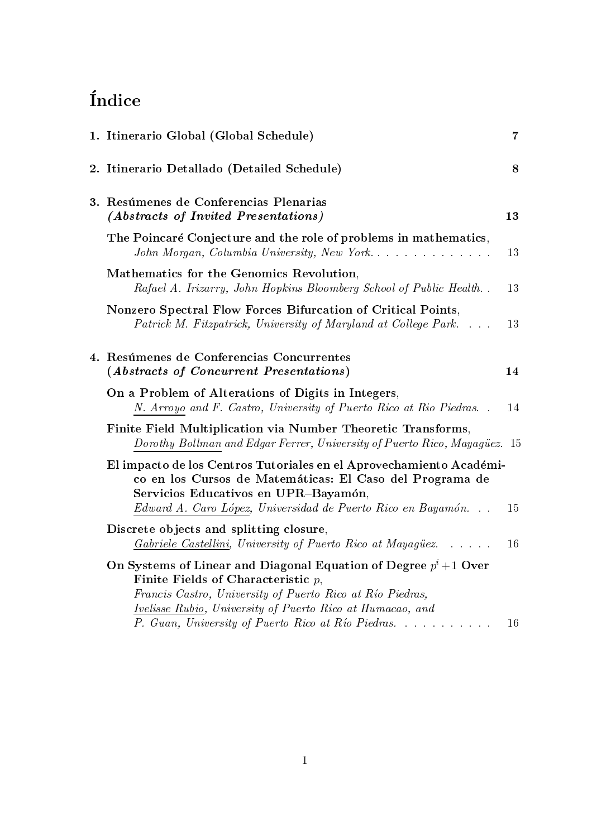# Índice

|  | 1. Itinerario Global (Global Schedule)                                                                                                                                                                                                      | $\overline{7}$ |
|--|---------------------------------------------------------------------------------------------------------------------------------------------------------------------------------------------------------------------------------------------|----------------|
|  | 2. Itinerario Detallado (Detailed Schedule)                                                                                                                                                                                                 | 8              |
|  | 3. Resúmenes de Conferencias Plenarias<br>(Abstracts of Invited Presentations)                                                                                                                                                              | 13             |
|  | The Poincaré Conjecture and the role of problems in mathematics,<br>John Morgan, Columbia University, New York                                                                                                                              | 13             |
|  | Mathematics for the Genomics Revolution,<br>Rafael A. Irizarry, John Hopkins Bloomberg School of Public Health                                                                                                                              | 13             |
|  | Nonzero Spectral Flow Forces Bifurcation of Critical Points,<br>Patrick M. Fitzpatrick, University of Maryland at College Park                                                                                                              | 13             |
|  | 4. Resúmenes de Conferencias Concurrentes<br>(Abstracts of Concurrent Presentations)                                                                                                                                                        | 14             |
|  | On a Problem of Alterations of Digits in Integers,<br>N. Arroyo and F. Castro, University of Puerto Rico at Rio Piedras                                                                                                                     | 14             |
|  | Finite Field Multiplication via Number Theoretic Transforms,<br>Dorothy Bollman and Edgar Ferrer, University of Puerto Rico, Mayagüez. 15                                                                                                   |                |
|  | El impacto de los Centros Tutoriales en el Aprovechamiento Académi-<br>co en los Cursos de Matemáticas: El Caso del Programa de<br>Servicios Educativos en UPR-Bayamón,                                                                     |                |
|  | Edward A. Caro López, Universidad de Puerto Rico en Bayamón                                                                                                                                                                                 | 15             |
|  | Discrete objects and splitting closure,<br><i>Gabriele Castellini</i> , University of Puerto Rico at Mayagüez                                                                                                                               | 16             |
|  | On Systems of Linear and Diagonal Equation of Degree $p^i+1$ Over<br>Finite Fields of Characteristic $p$ ,<br>Francis Castro, University of Puerto Rico at Río Piedras,<br><i>Ivelisse Rubio, University of Puerto Rico at Humacao, and</i> |                |
|  | P. Guan, University of Puerto Rico at Río Piedras.                                                                                                                                                                                          | 16             |
|  |                                                                                                                                                                                                                                             |                |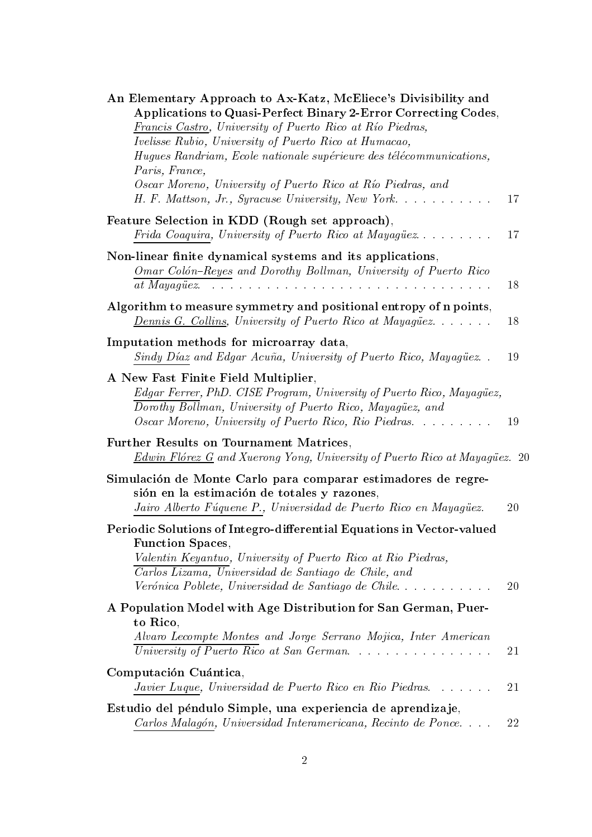| An Elementary Approach to Ax-Katz, McEliece's Divisibility and<br>Applications to Quasi-Perfect Binary 2-Error Correcting Codes,<br>Francis Castro, University of Puerto Rico at Río Piedras,<br><i>Ivelisse Rubio, University of Puerto Rico at Humacao,</i><br>Hugues Randriam, Ecole nationale supérieure des télécommunications, |    |
|--------------------------------------------------------------------------------------------------------------------------------------------------------------------------------------------------------------------------------------------------------------------------------------------------------------------------------------|----|
| Paris, France,<br>Oscar Moreno, University of Puerto Rico at Río Piedras, and<br>H. F. Mattson, Jr., Syracuse University, New York                                                                                                                                                                                                   | 17 |
| Feature Selection in KDD (Rough set approach),<br>Frida Coaquira, University of Puerto Rico at Mayagüez                                                                                                                                                                                                                              | 17 |
| Non-linear finite dynamical systems and its applications,<br>Omar Colón-Reyes and Dorothy Bollman, University of Puerto Rico                                                                                                                                                                                                         | 18 |
| Algorithm to measure symmetry and positional entropy of n points,<br><b>Dennis G. Collins, University of Puerto Rico at Mayagüez</b>                                                                                                                                                                                                 | 18 |
| Imputation methods for microarray data,<br>Sindy Díaz and Edgar Acuña, University of Puerto Rico, Mayagüez                                                                                                                                                                                                                           | 19 |
| A New Fast Finite Field Multiplier,<br>Edgar Ferrer, PhD. CISE Program, University of Puerto Rico, Mayagüez,<br>Dorothy Bollman, University of Puerto Rico, Mayagüez, and<br>Oscar Moreno, University of Puerto Rico, Rio Piedras                                                                                                    | 19 |
| Further Results on Tournament Matrices,<br>Edwin Flórez G and Xuerong Yong, University of Puerto Rico at Mayagüez. 20                                                                                                                                                                                                                |    |
| Simulación de Monte Carlo para comparar estimadores de regre-<br>sión en la estimación de totales y razones,<br>Jairo Alberto Fúquene P., Universidad de Puerto Rico en Mayagüez.                                                                                                                                                    | 20 |
| Periodic Solutions of Integro-differential Equations in Vector-valued<br><b>Function Spaces,</b>                                                                                                                                                                                                                                     |    |
| Valentin Keyantuo, University of Puerto Rico at Rio Piedras,<br>Carlos Lizama, Universidad de Santiago de Chile, and<br>Verónica Poblete, Universidad de Santiago de Chile                                                                                                                                                           | 20 |
| A Population Model with Age Distribution for San German, Puer-<br>to Rico,<br>Alvaro Lecompte Montes and Jorge Serrano Mojica, Inter American<br>University of Puerto Rico at San German                                                                                                                                             | 21 |
| Computación Cuántica,<br>Javier Luque, Universidad de Puerto Rico en Rio Piedras                                                                                                                                                                                                                                                     | 21 |
| Estudio del péndulo Simple, una experiencia de aprendizaje,<br>Carlos Malagón, Universidad Interamericana, Recinto de Ponce                                                                                                                                                                                                          | 22 |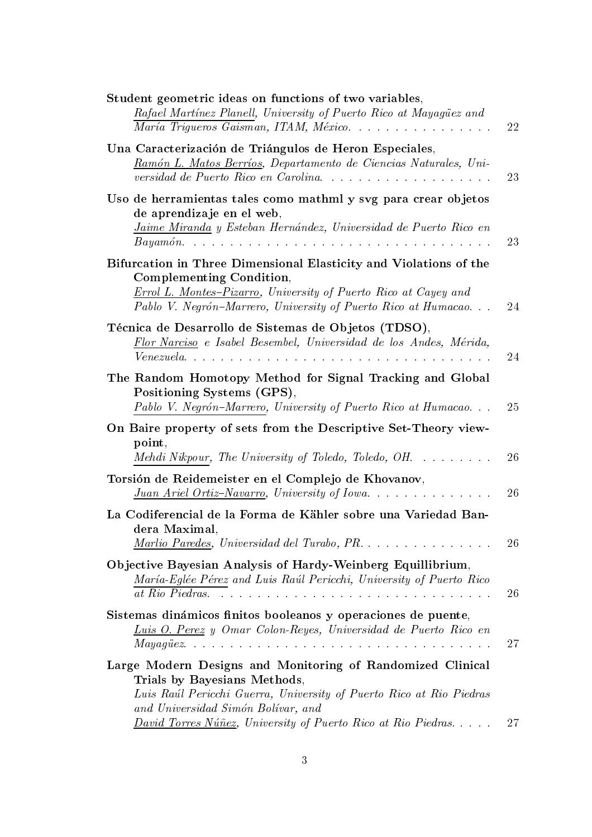| Student geometric ideas on functions of two variables,<br>Rafael Martínez Planell, University of Puerto Rico at Mayagüez and<br>María Trigueros Gaisman, ITAM, México                                                             | 22       |
|-----------------------------------------------------------------------------------------------------------------------------------------------------------------------------------------------------------------------------------|----------|
| Una Caracterización de Triángulos de Heron Especiales,<br>Ramón L. Matos Berríos, Departamento de Ciencias Naturales, Uni-<br>versidad de Puerto Rico en Carolina                                                                 | 23       |
| Uso de herramientas tales como mathml y svg para crear objetos<br>de aprendizaje en el web,<br>Jaime Miranda y Esteban Hernández, Universidad de Puerto Rico en                                                                   | 23       |
| Bifurcation in Three Dimensional Elasticity and Violations of the<br>Complementing Condition,<br>Errol L. Montes-Pizarro, University of Puerto Rico at Cayey and<br>Pablo V. Negrón-Marrero, University of Puerto Rico at Humacao | 24       |
| Técnica de Desarrollo de Sistemas de Objetos (TDSO),<br>Flor Narciso e Isabel Besembel, Universidad de los Andes, Mérida,                                                                                                         | 24       |
| The Random Homotopy Method for Signal Tracking and Global<br>Positioning Systems (GPS),<br>Pablo V. Negrón-Marrero, University of Puerto Rico at Humacao                                                                          | 25       |
| On Baire property of sets from the Descriptive Set-Theory view-<br>point,<br>Mehdi Nikpour, The University of Toledo, Toledo, OH.                                                                                                 | 26       |
| Torsión de Reidemeister en el Complejo de Khovanov,<br><u>Juan Ariel Ortiz-Navarro</u> , University of Iowa                                                                                                                       | 26       |
| La Codiferencial de la Forma de Kähler sobre una Variedad Ban-<br>dera Maximal,                                                                                                                                                   |          |
| Marlio Paredes, Universidad del Turabo, PR.<br>Objective Bayesian Analysis of Hardy-Weinberg Equillibrium,<br>María-Eglée Pérez and Luis Raúl Pericchi, University of Puerto Rico<br>at Rio Piedras.                              | 26<br>26 |
| Sistemas dinámicos finitos booleanos y operaciones de puente,<br>Luis O. Perez y Omar Colon-Reyes, Universidad de Puerto Rico en                                                                                                  | 27       |
| Large Modern Designs and Monitoring of Randomized Clinical<br>Trials by Bayesians Methods,<br>Luis Raúl Pericchi Guerra, University of Puerto Rico at Rio Piedras<br>and Universidad Simón Bolívar, and                           |          |
| <i>David Torres Núñez</i> , University of Puerto Rico at Rio Piedras                                                                                                                                                              | 27       |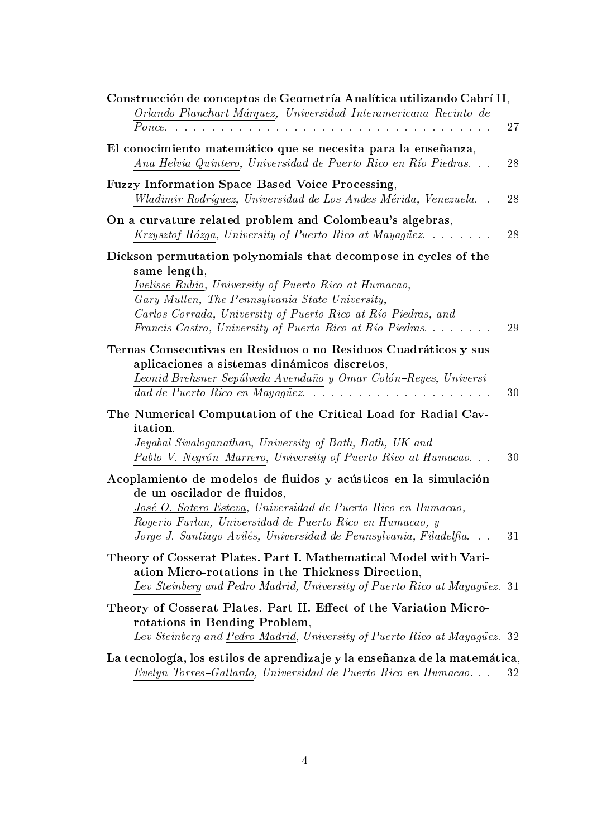| Construcción de conceptos de Geometría Analítica utilizando Cabrí II,                                                                                                                                                                                                                             |    |
|---------------------------------------------------------------------------------------------------------------------------------------------------------------------------------------------------------------------------------------------------------------------------------------------------|----|
| Orlando Planchart Márquez, Universidad Interamericana Recinto de<br>$Ponce \dots \dots \dots \dots$                                                                                                                                                                                               | 27 |
| El conocimiento matemático que se necesita para la enseñanza,<br>Ana Helvia Quintero, Universidad de Puerto Rico en Río Piedras                                                                                                                                                                   | 28 |
| <b>Fuzzy Information Space Based Voice Processing,</b><br>Wladimir Rodríguez, Universidad de Los Andes Mérida, Venezuela.                                                                                                                                                                         | 28 |
| On a curvature related problem and Colombeau's algebras,<br>Krzysztof Rózga, University of Puerto Rico at Mayagüez                                                                                                                                                                                | 28 |
| Dickson permutation polynomials that decompose in cycles of the<br>same length,<br><i>Ivelisse Rubio, University of Puerto Rico at Humacao,</i>                                                                                                                                                   |    |
| Gary Mullen, The Pennsylvania State University,<br>Carlos Corrada, University of Puerto Rico at Río Piedras, and<br>Francis Castro, University of Puerto Rico at Río Piedras                                                                                                                      | 29 |
| Ternas Consecutivas en Residuos o no Residuos Cuadráticos y sus<br>aplicaciones a sistemas dinámicos discretos,<br>Leonid Brehsner Sepúlveda Avendaño y Omar Colón-Reyes, Universi-<br>dad de Puerto Rico en Mayagüez.<br>.                                                                       | 30 |
| The Numerical Computation of the Critical Load for Radial Cav-<br>itation,<br>Jeyabal Sivaloganathan, University of Bath, Bath, UK and<br>Pablo V. Negrón-Marrero, University of Puerto Rico at Humacao                                                                                           | 30 |
| Acoplamiento de modelos de fluidos y acústicos en la simulación<br>de un oscilador de fluidos,<br>José O. Sotero Esteva, Universidad de Puerto Rico en Humacao,<br>Rogerio Furlan, Universidad de Puerto Rico en Humacao, y<br>Jorge J. Santiago Avilés, Universidad de Pennsylvania, Filadelfia. | 31 |
| Theory of Cosserat Plates. Part I. Mathematical Model with Vari-<br>ation Micro-rotations in the Thickness Direction,<br>Lev Steinberg and Pedro Madrid, University of Puerto Rico at Mayagüez. 31                                                                                                |    |
| Theory of Cosserat Plates. Part II. Effect of the Variation Micro-<br>rotations in Bending Problem,<br>Lev Steinberg and Pedro Madrid, University of Puerto Rico at Mayagüez. 32                                                                                                                  |    |
| La tecnología, los estilos de aprendizaje y la enseñanza de la matemática,<br>Evelyn Torres-Gallardo, Universidad de Puerto Rico en Humacao                                                                                                                                                       | 32 |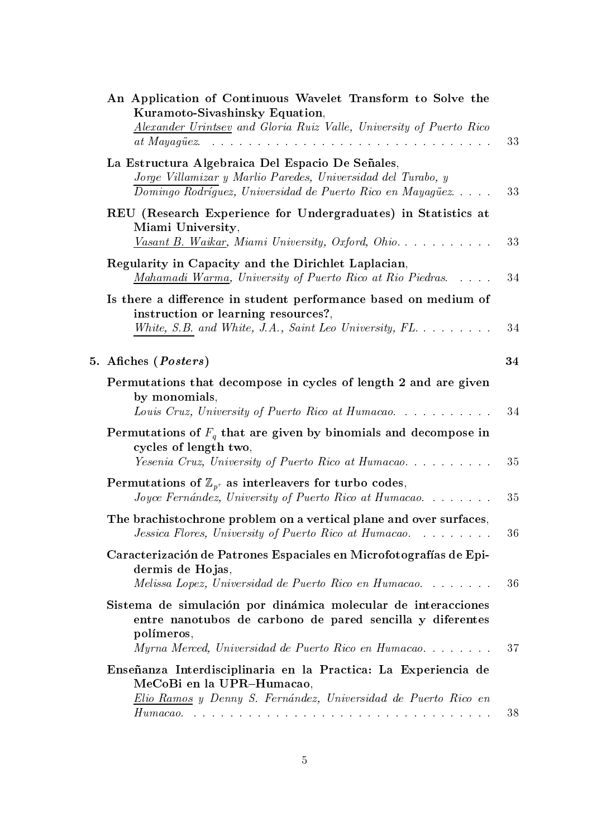| An Application of Continuous Wavelet Transform to Solve the<br>Kuramoto-Sivashinsky Equation,<br>Alexander Urintsey and Gloria Ruiz Valle, University of Puerto Rico<br>at Mayagüez.<br>والمتعاون والمتعاون والمتعاون والمتعاون والمتعاونة والمتعاونة والمتعاونة والمتعاونة والمتعاونة والمتعاونة والمتعاون | 33 |
|-------------------------------------------------------------------------------------------------------------------------------------------------------------------------------------------------------------------------------------------------------------------------------------------------------------|----|
| La Estructura Algebraica Del Espacio De Señales,<br>Jorge Villamizar y Marlio Paredes, Universidad del Turabo, y<br>Domingo Rodríguez, Universidad de Puerto Rico en Mayagüez                                                                                                                               | 33 |
| REU (Research Experience for Undergraduates) in Statistics at<br>Miami University,<br>Vasant B. Waikar, Miami University, Oxford, Ohio                                                                                                                                                                      | 33 |
| Regularity in Capacity and the Dirichlet Laplacian,<br>Mahamadi Warma, University of Puerto Rico at Rio Piedras.                                                                                                                                                                                            | 34 |
| Is there a difference in student performance based on medium of<br>instruction or learning resources?,<br>White, S.B. and White, J.A., Saint Leo University, $FL. \ldots \ldots$                                                                                                                            | 34 |
| 5. Afiches (Posters)                                                                                                                                                                                                                                                                                        | 34 |
| Permutations that decompose in cycles of length 2 and are given<br>by monomials,<br>Louis Cruz, University of Puerto Rico at Humacao                                                                                                                                                                        | 34 |
| Permutations of $F_q$ that are given by binomials and decompose in<br>cycles of length two,<br>Yesenia Cruz, University of Puerto Rico at Humacao                                                                                                                                                           | 35 |
| Permutations of $\mathbb{Z}_{p^r}$ as interleavers for turbo codes,<br>Joyce Fernández, University of Puerto Rico at Humacao                                                                                                                                                                                | 35 |
| The brachistochrone problem on a vertical plane and over surfaces,<br>Jessica Flores, University of Puerto Rico at Humacao.                                                                                                                                                                                 | 36 |
| Caracterización de Patrones Espaciales en Microfotografías de Epi-<br>dermis de Hojas,<br>Melissa Lopez, Universidad de Puerto Rico en Humacao                                                                                                                                                              | 36 |
| Sistema de simulación por dinámica molecular de interacciones<br>entre nanotubos de carbono de pared sencilla y diferentes<br>polímeros,<br>Myrna Merced, Universidad de Puerto Rico en Humacao                                                                                                             | 37 |
| Enseñanza Interdisciplinaria en la Practica: La Experiencia de<br>MeCoBi en la UPR-Humacao,<br>Elio Ramos y Denny S. Fernández, Universidad de Puerto Rico en                                                                                                                                               |    |
|                                                                                                                                                                                                                                                                                                             | 38 |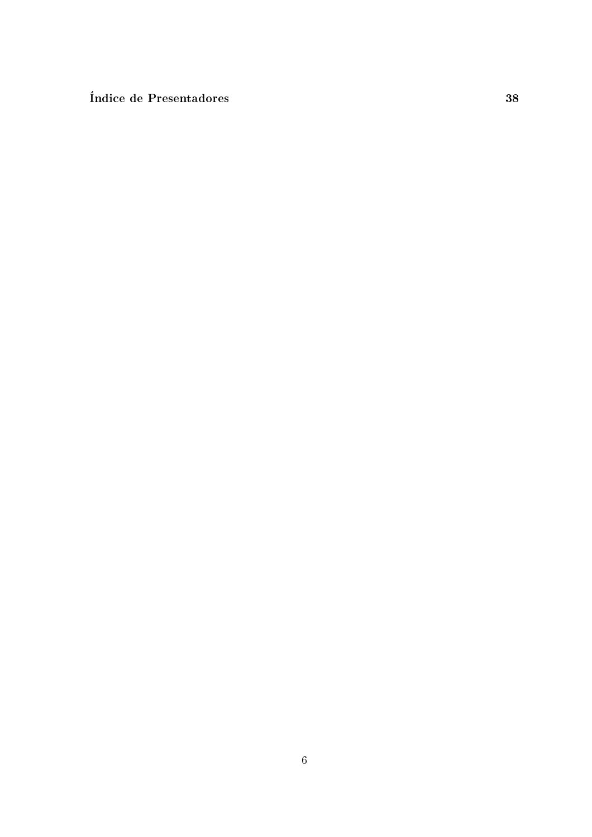Índice de Presentadores

38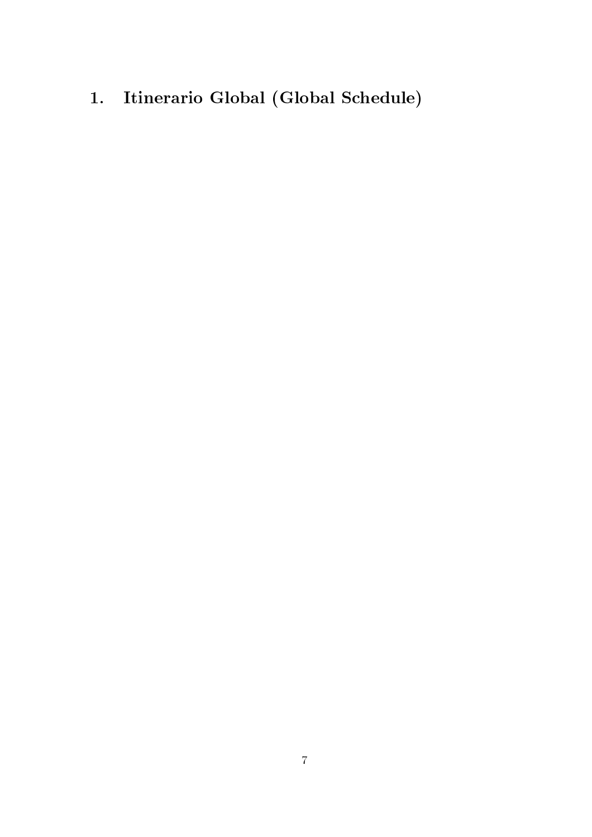Itinerario Global (Global Schedule)  $1.$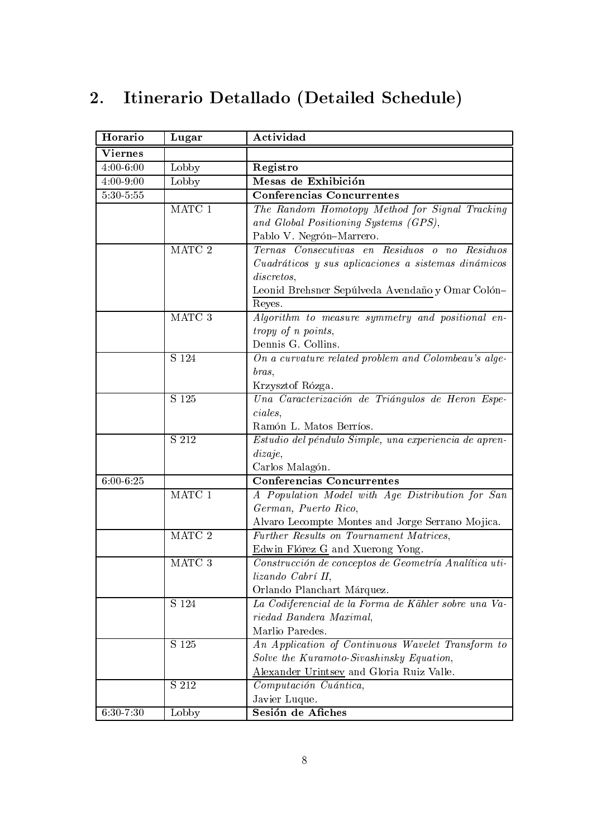#### Itinerario Detallado (Detailed Schedule)  $2.$

| Horario       | Lugar             | Actividad                                             |
|---------------|-------------------|-------------------------------------------------------|
| Viernes       |                   |                                                       |
| $4:00 - 6:00$ | Lobby             | Registro                                              |
| $4:00 - 9:00$ | Lobby             | Mesas de Exhibición                                   |
| $5:30 - 5:55$ |                   | <b>Conferencias Concurrentes</b>                      |
|               | $\rm{MATC}$ 1     | The Random Homotopy Method for Signal Tracking        |
|               |                   | and Global Positioning Systems (GPS),                 |
|               |                   | Pablo V. Negrón-Marrero.                              |
|               | MATC <sub>2</sub> | Ternas Consecutivas en Residuos o no<br>Residuos      |
|               |                   | Cuadráticos y sus aplicaciones a sistemas dinámicos   |
|               |                   | discretos,                                            |
|               |                   | Leonid Brehsner Sepúlveda Avendaño y Omar Colón-      |
|               |                   | Reyes.                                                |
|               | MATC 3            | Algorithm to measure symmetry and positional en-      |
|               |                   | tropy of n points,                                    |
|               |                   | Dennis G. Collins.                                    |
|               | S 124             | On a curvature related problem and Colombeau's alge-  |
|               |                   | bras,                                                 |
|               |                   | Krzysztof Rózga.                                      |
|               | S 125             | Una Caracterización de Triángulos de Heron Espe-      |
|               |                   | ciales.                                               |
|               |                   | Ramón L. Matos Berríos.                               |
|               | S 212             | Estudio del péndulo Simple, una experiencia de apren- |
|               |                   | dizaje,                                               |
|               |                   | Carlos Malagón.                                       |
| $6:00 - 6:25$ |                   | <b>Conferencias Concurrentes</b>                      |
|               | MATC <sub>1</sub> | A Population Model with Age Distribution for San      |
|               |                   | German, Puerto Rico,                                  |
|               |                   | Alvaro Lecompte Montes and Jorge Serrano Mojica.      |
|               | MATC <sub>2</sub> | Further Results on Tournament Matrices,               |
|               |                   | Edwin Flórez G and Xuerong Yong.                      |
|               | MATC 3            | Construcción de conceptos de Geometría Analítica uti- |
|               |                   | lizando Cabrí II,                                     |
|               |                   | Orlando Planchart Márquez.                            |
|               | S 124             | La Codiferencial de la Forma de Kähler sobre una Va-  |
|               |                   | riedad Bandera Maximal,                               |
|               |                   | Marlio Paredes.                                       |
|               | S 125             | An Application of Continuous Wavelet Transform to     |
|               |                   | Solve the Kuramoto-Sivashinsky Equation,              |
|               |                   | Alexander Urintsey and Gloria Ruiz Valle.             |
|               | S 212             | Computación Cuántica,                                 |
|               |                   | Javier Luque.                                         |
| $6:30 - 7:30$ | Lobby             | Sesión de Afiches                                     |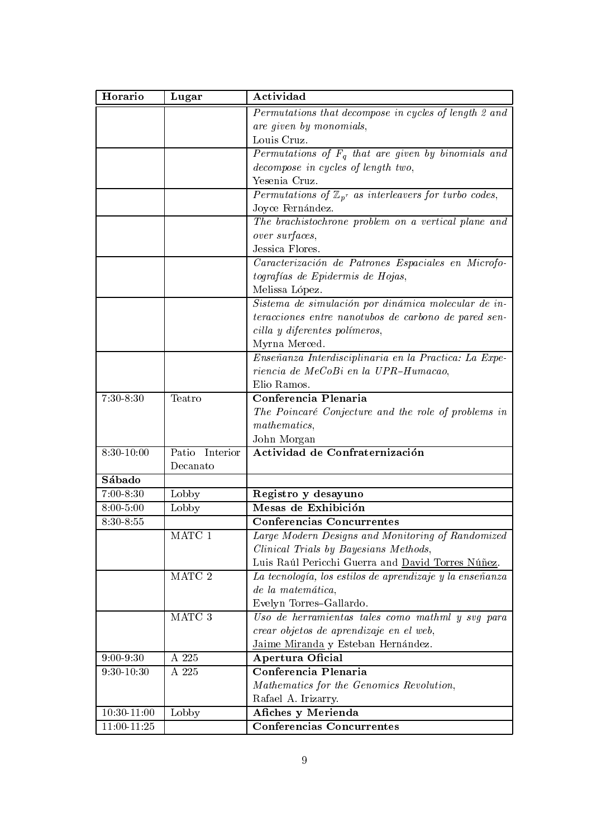| Horario         | Lugar             | Actividad                                                           |
|-----------------|-------------------|---------------------------------------------------------------------|
|                 |                   | Permutations that decompose in cycles of length 2 and               |
|                 |                   | are given by monomials,                                             |
|                 |                   | Louis Cruz.                                                         |
|                 |                   | Permutations of $F_q$ that are given by binomials and               |
|                 |                   | decompose in cycles of length two,                                  |
|                 |                   | Yesenia Cruz.                                                       |
|                 |                   | Permutations of $\mathbb{Z}_{p^r}$ as interleavers for turbo codes, |
|                 |                   | Joyce Fernández.                                                    |
|                 |                   | The brachistochrone problem on a vertical plane and                 |
|                 |                   | over surfaces,                                                      |
|                 |                   | Jessica Flores.                                                     |
|                 |                   | Caracterización de Patrones Espaciales en Microfo-                  |
|                 |                   | tografías de Epidermis de Hojas,                                    |
|                 |                   | Melissa López.                                                      |
|                 |                   | Sistema de simulación por dinámica molecular de in-                 |
|                 |                   | teracciones entre nanotubos de carbono de pared sen-                |
|                 |                   | cilla y diferentes polímeros,                                       |
|                 |                   | Myrna Merced.                                                       |
|                 |                   | Enseñanza Interdisciplinaria en la Practica: La Expe-               |
|                 |                   | riencia de MeCoBi en la UPR-Humacao,                                |
|                 |                   | Elio Ramos.                                                         |
| $7:30-8:30$     | Teatro            | Conferencia Plenaria                                                |
|                 |                   | The Poincaré Conjecture and the role of problems in                 |
|                 |                   | mathematics,                                                        |
|                 |                   | John Morgan                                                         |
| $8:30 - 10:00$  | Patio<br>Interior | Actividad de Confraternización                                      |
|                 | Decanato          |                                                                     |
| Sábado          |                   |                                                                     |
| $7:00-8:30$     | Lobby             | Registro y desayuno                                                 |
| $8:00 - 5:00$   | Lobby             | Mesas de Exhibición                                                 |
| 8:30-8:55       |                   | <b>Conferencias Concurrentes</b>                                    |
|                 | MATC 1            | Large Modern Designs and Monitoring of Randomized                   |
|                 |                   | Clinical Trials by Bayesians Methods,                               |
|                 |                   | Luis Raúl Pericchi Guerra and David Torres Núñez.                   |
|                 | MATC 2            | La tecnología, los estilos de aprendizaje y la enseñanza            |
|                 |                   | de la matemática,                                                   |
|                 |                   | Evelyn Torres-Gallardo.                                             |
|                 | MATC 3            | Uso de herramientas tales como mathml y svg para                    |
|                 |                   | crear objetos de aprendizaje en el web,                             |
|                 |                   | Jaime Miranda y Esteban Hernández.                                  |
| $9:00-9:30$     | A 225             | Apertura Oficial                                                    |
| $9:30 - 10:30$  | A 225             | Conferencia Plenaria                                                |
|                 |                   | Mathematics for the Genomics Revolution,                            |
|                 |                   | Rafael A. Irizarry.                                                 |
| $10:30-11:00$   | Lobby             | Afiches y Merienda                                                  |
| $11:00 - 11:25$ |                   | <b>Conferencias Concurrentes</b>                                    |
|                 |                   |                                                                     |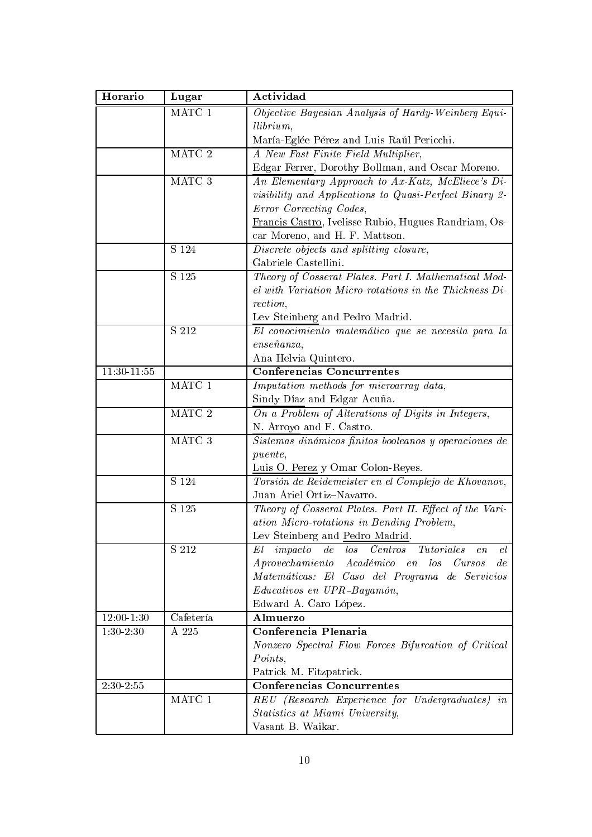| Horario                    | Lugar         | Actividad                                                                       |
|----------------------------|---------------|---------------------------------------------------------------------------------|
|                            | MATC 1        | Objective Bayesian Analysis of Hardy-Weinberg Equi-                             |
|                            |               | llibrium,                                                                       |
|                            |               | María-Eglée Pérez and Luis Raúl Pericchi.                                       |
|                            | MATC 2        | A New Fast Finite Field Multiplier,                                             |
|                            |               | Edgar Ferrer, Dorothy Bollman, and Oscar Moreno.                                |
|                            | MATC 3        | An Elementary Approach to Ax-Katz, McEliece's Di-                               |
|                            |               | <i>visibility</i> and Applications to Quasi-Perfect Binary 2-                   |
|                            |               | Error Correcting Codes,                                                         |
|                            |               | Francis Castro, Ivelisse Rubio, Hugues Randriam, Os-                            |
|                            |               | car Moreno, and H. F. Mattson.                                                  |
|                            | S 124         | Discrete objects and splitting closure,                                         |
|                            |               | Gabriele Castellini.                                                            |
|                            | S 125         | Theory of Cosserat Plates. Part I. Mathematical Mod-                            |
|                            |               | $el$ with Variation Micro-rotations in the Thickness $Di$                       |
|                            |               | rection,                                                                        |
|                            |               | Lev Steinberg and Pedro Madrid.                                                 |
|                            | S 212         | El conocimiento matemático que se necesita para la                              |
|                            |               | $ense\~na nza,$                                                                 |
|                            |               | Ana Helvia Quintero.                                                            |
| $11:30 - \overline{11:55}$ |               | <b>Conferencias Concurrentes</b>                                                |
|                            | $\rm{MATC}$ 1 | Imputation methods for microarray data,                                         |
|                            |               | Sindy Díaz and Edgar Acuña.                                                     |
|                            | MATC 2        | On a Problem of Alterations of Digits in Integers,                              |
|                            |               | N. Arroyo and F. Castro.                                                        |
|                            | MATC 3        | Sistemas dinámicos finitos booleanos y operaciones de                           |
|                            |               | <i>puente</i> ,                                                                 |
|                            |               | Luis O. Perez y Omar Colon-Reyes.                                               |
|                            | S 124         | Torsión de Reidemeister en el Complejo de Khovanov,                             |
|                            |               | Juan Ariel Ortiz-Navarro.                                                       |
|                            | S 125         | Theory of Cosserat Plates. Part II. Effect of the Vari-                         |
|                            |               | ation Micro-rotations in Bending Problem,                                       |
|                            |               | Lev Steinberg and Pedro Madrid.                                                 |
|                            | S 212         | impatch<br>$\,de\,$<br>$\log$<br><i>Tutoriales</i><br>Centros<br>el<br>El<br>en |
|                            |               | Aprovechamiento Académico en<br>$\log$<br>Cursos<br>de                          |
|                            |               | Matemáticas: El Caso del Programa de Servicios                                  |
|                            |               | Educativos en UPR-Bayamón,                                                      |
| $12:00 - 1:30$             |               | Edward A. Caro López.                                                           |
|                            | Cafetería     | Almuerzo<br>Conferencia Plenaria                                                |
| $1:30-2:30$                | A 225         |                                                                                 |
|                            |               | Nonzero Spectral Flow Forces Bifurcation of Critical<br>Points,                 |
|                            |               |                                                                                 |
| $2:30-2:\overline{55}$     |               | Patrick M. Fitzpatrick.<br><b>Conferencias Concurrentes</b>                     |
|                            | MATC 1        | REU (Research Experience for Undergraduates) in                                 |
|                            |               |                                                                                 |
|                            |               | Statistics at Miami University,<br>Vasant B. Waikar.                            |
|                            |               |                                                                                 |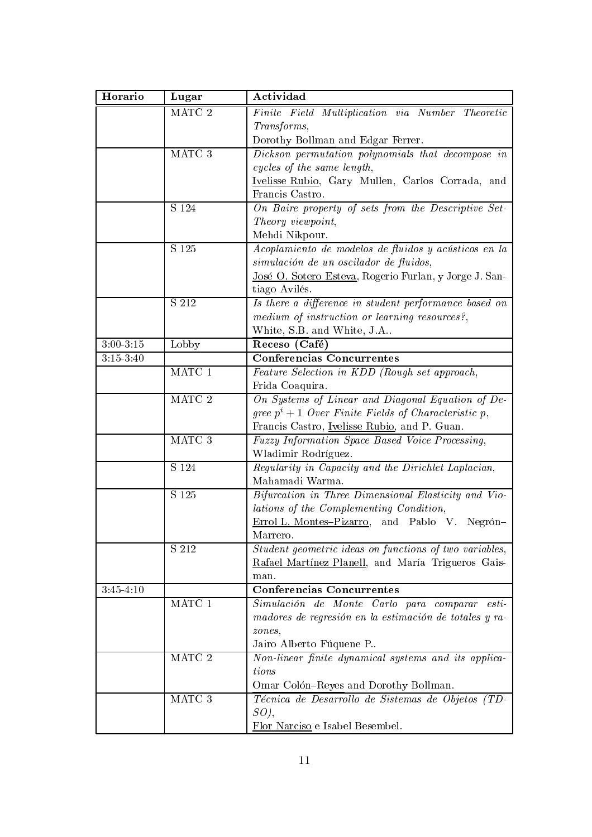| MATC <sub>2</sub><br>Finite Field Multiplication via Number Theoretic<br>Transforms,<br>Dorothy Bollman and Edgar Ferrer.<br>MATC 3<br>Dickson permutation polynomials that decompose in<br>cycles of the same length,<br>Ivelisse Rubio, Gary Mullen, Carlos Corrada, and<br>Francis Castro.<br>On Baire property of sets from the Descriptive Set-<br>S 124<br>Theory viewpoint,<br>Mehdi Nikpour.<br>S 125<br>Acoplamiento de modelos de fluidos y acústicos en la<br>simulación de un oscilador de fluidos,<br>José O. Sotero Esteva, Rogerio Furlan, y Jorge J. San-<br>tiago Avilés.<br>Is there a difference in student performance based on<br>S 212<br>medium of instruction or learning resources?,<br>White, S.B. and White, J.A<br>$3:00 - 3:15$<br>Lobby<br>Receso (Café)<br>Conferencias Concurrentes<br>$3:15-3:40$<br>$\rm{MATC}$ 1<br>Feature Selection in KDD (Rough set approach,<br>Frida Coaquira.<br>MATC 2<br>On Systems of Linear and Diagonal Equation of De-<br>gree $p^{i}+1$ Over Finite Fields of Characteristic p,<br>Francis Castro, <u>Ivelisse Rubio</u> , and P. Guan.<br>MATC 3<br>Fuzzy Information Space Based Voice Processing,<br>Wladimir Rodríguez.<br>S 124<br>Regularity in Capacity and the Dirichlet Laplacian,<br>Mahamadi Warma.<br>S 125<br>Bifurcation in Three Dimensional Elasticity and Vio-<br>lations of the Complementing Condition,<br>Errol L. Montes-Pizarro, and Pablo V. Negrón-<br>Marrero.<br>Student geometric ideas on functions of two variables,<br>S 212<br>Rafael Martínez Planell, and María Trigueros Gais-<br>man.<br><b>Conferencias Concurrentes</b><br>$3:45-4:10$<br>MATC 1<br>Simulación de Monte Carlo para comparar esti-<br>madores de regresión en la estimación de totales y ra-<br>zones.<br>Jairo Alberto Fúquene P<br>MATC 2<br>Non-linear finite dynamical systems and its applica-<br>tions<br>Omar Colón-Reyes and Dorothy Bollman.<br>$\rm{MATC}$ 3<br>Técnica de Desarrollo de Sistemas de Objetos (TD-<br>SO, | Horario | Lugar | Actividad                       |
|---------------------------------------------------------------------------------------------------------------------------------------------------------------------------------------------------------------------------------------------------------------------------------------------------------------------------------------------------------------------------------------------------------------------------------------------------------------------------------------------------------------------------------------------------------------------------------------------------------------------------------------------------------------------------------------------------------------------------------------------------------------------------------------------------------------------------------------------------------------------------------------------------------------------------------------------------------------------------------------------------------------------------------------------------------------------------------------------------------------------------------------------------------------------------------------------------------------------------------------------------------------------------------------------------------------------------------------------------------------------------------------------------------------------------------------------------------------------------------------------------------------------------------------------------------------------------------------------------------------------------------------------------------------------------------------------------------------------------------------------------------------------------------------------------------------------------------------------------------------------------------------------------------------------------------------------------------------------------------------------------------|---------|-------|---------------------------------|
|                                                                                                                                                                                                                                                                                                                                                                                                                                                                                                                                                                                                                                                                                                                                                                                                                                                                                                                                                                                                                                                                                                                                                                                                                                                                                                                                                                                                                                                                                                                                                                                                                                                                                                                                                                                                                                                                                                                                                                                                         |         |       |                                 |
|                                                                                                                                                                                                                                                                                                                                                                                                                                                                                                                                                                                                                                                                                                                                                                                                                                                                                                                                                                                                                                                                                                                                                                                                                                                                                                                                                                                                                                                                                                                                                                                                                                                                                                                                                                                                                                                                                                                                                                                                         |         |       |                                 |
|                                                                                                                                                                                                                                                                                                                                                                                                                                                                                                                                                                                                                                                                                                                                                                                                                                                                                                                                                                                                                                                                                                                                                                                                                                                                                                                                                                                                                                                                                                                                                                                                                                                                                                                                                                                                                                                                                                                                                                                                         |         |       |                                 |
|                                                                                                                                                                                                                                                                                                                                                                                                                                                                                                                                                                                                                                                                                                                                                                                                                                                                                                                                                                                                                                                                                                                                                                                                                                                                                                                                                                                                                                                                                                                                                                                                                                                                                                                                                                                                                                                                                                                                                                                                         |         |       |                                 |
|                                                                                                                                                                                                                                                                                                                                                                                                                                                                                                                                                                                                                                                                                                                                                                                                                                                                                                                                                                                                                                                                                                                                                                                                                                                                                                                                                                                                                                                                                                                                                                                                                                                                                                                                                                                                                                                                                                                                                                                                         |         |       |                                 |
|                                                                                                                                                                                                                                                                                                                                                                                                                                                                                                                                                                                                                                                                                                                                                                                                                                                                                                                                                                                                                                                                                                                                                                                                                                                                                                                                                                                                                                                                                                                                                                                                                                                                                                                                                                                                                                                                                                                                                                                                         |         |       |                                 |
|                                                                                                                                                                                                                                                                                                                                                                                                                                                                                                                                                                                                                                                                                                                                                                                                                                                                                                                                                                                                                                                                                                                                                                                                                                                                                                                                                                                                                                                                                                                                                                                                                                                                                                                                                                                                                                                                                                                                                                                                         |         |       |                                 |
|                                                                                                                                                                                                                                                                                                                                                                                                                                                                                                                                                                                                                                                                                                                                                                                                                                                                                                                                                                                                                                                                                                                                                                                                                                                                                                                                                                                                                                                                                                                                                                                                                                                                                                                                                                                                                                                                                                                                                                                                         |         |       |                                 |
|                                                                                                                                                                                                                                                                                                                                                                                                                                                                                                                                                                                                                                                                                                                                                                                                                                                                                                                                                                                                                                                                                                                                                                                                                                                                                                                                                                                                                                                                                                                                                                                                                                                                                                                                                                                                                                                                                                                                                                                                         |         |       |                                 |
|                                                                                                                                                                                                                                                                                                                                                                                                                                                                                                                                                                                                                                                                                                                                                                                                                                                                                                                                                                                                                                                                                                                                                                                                                                                                                                                                                                                                                                                                                                                                                                                                                                                                                                                                                                                                                                                                                                                                                                                                         |         |       |                                 |
|                                                                                                                                                                                                                                                                                                                                                                                                                                                                                                                                                                                                                                                                                                                                                                                                                                                                                                                                                                                                                                                                                                                                                                                                                                                                                                                                                                                                                                                                                                                                                                                                                                                                                                                                                                                                                                                                                                                                                                                                         |         |       |                                 |
|                                                                                                                                                                                                                                                                                                                                                                                                                                                                                                                                                                                                                                                                                                                                                                                                                                                                                                                                                                                                                                                                                                                                                                                                                                                                                                                                                                                                                                                                                                                                                                                                                                                                                                                                                                                                                                                                                                                                                                                                         |         |       |                                 |
|                                                                                                                                                                                                                                                                                                                                                                                                                                                                                                                                                                                                                                                                                                                                                                                                                                                                                                                                                                                                                                                                                                                                                                                                                                                                                                                                                                                                                                                                                                                                                                                                                                                                                                                                                                                                                                                                                                                                                                                                         |         |       |                                 |
|                                                                                                                                                                                                                                                                                                                                                                                                                                                                                                                                                                                                                                                                                                                                                                                                                                                                                                                                                                                                                                                                                                                                                                                                                                                                                                                                                                                                                                                                                                                                                                                                                                                                                                                                                                                                                                                                                                                                                                                                         |         |       |                                 |
|                                                                                                                                                                                                                                                                                                                                                                                                                                                                                                                                                                                                                                                                                                                                                                                                                                                                                                                                                                                                                                                                                                                                                                                                                                                                                                                                                                                                                                                                                                                                                                                                                                                                                                                                                                                                                                                                                                                                                                                                         |         |       |                                 |
|                                                                                                                                                                                                                                                                                                                                                                                                                                                                                                                                                                                                                                                                                                                                                                                                                                                                                                                                                                                                                                                                                                                                                                                                                                                                                                                                                                                                                                                                                                                                                                                                                                                                                                                                                                                                                                                                                                                                                                                                         |         |       |                                 |
|                                                                                                                                                                                                                                                                                                                                                                                                                                                                                                                                                                                                                                                                                                                                                                                                                                                                                                                                                                                                                                                                                                                                                                                                                                                                                                                                                                                                                                                                                                                                                                                                                                                                                                                                                                                                                                                                                                                                                                                                         |         |       |                                 |
|                                                                                                                                                                                                                                                                                                                                                                                                                                                                                                                                                                                                                                                                                                                                                                                                                                                                                                                                                                                                                                                                                                                                                                                                                                                                                                                                                                                                                                                                                                                                                                                                                                                                                                                                                                                                                                                                                                                                                                                                         |         |       |                                 |
|                                                                                                                                                                                                                                                                                                                                                                                                                                                                                                                                                                                                                                                                                                                                                                                                                                                                                                                                                                                                                                                                                                                                                                                                                                                                                                                                                                                                                                                                                                                                                                                                                                                                                                                                                                                                                                                                                                                                                                                                         |         |       |                                 |
|                                                                                                                                                                                                                                                                                                                                                                                                                                                                                                                                                                                                                                                                                                                                                                                                                                                                                                                                                                                                                                                                                                                                                                                                                                                                                                                                                                                                                                                                                                                                                                                                                                                                                                                                                                                                                                                                                                                                                                                                         |         |       |                                 |
|                                                                                                                                                                                                                                                                                                                                                                                                                                                                                                                                                                                                                                                                                                                                                                                                                                                                                                                                                                                                                                                                                                                                                                                                                                                                                                                                                                                                                                                                                                                                                                                                                                                                                                                                                                                                                                                                                                                                                                                                         |         |       |                                 |
|                                                                                                                                                                                                                                                                                                                                                                                                                                                                                                                                                                                                                                                                                                                                                                                                                                                                                                                                                                                                                                                                                                                                                                                                                                                                                                                                                                                                                                                                                                                                                                                                                                                                                                                                                                                                                                                                                                                                                                                                         |         |       |                                 |
|                                                                                                                                                                                                                                                                                                                                                                                                                                                                                                                                                                                                                                                                                                                                                                                                                                                                                                                                                                                                                                                                                                                                                                                                                                                                                                                                                                                                                                                                                                                                                                                                                                                                                                                                                                                                                                                                                                                                                                                                         |         |       |                                 |
|                                                                                                                                                                                                                                                                                                                                                                                                                                                                                                                                                                                                                                                                                                                                                                                                                                                                                                                                                                                                                                                                                                                                                                                                                                                                                                                                                                                                                                                                                                                                                                                                                                                                                                                                                                                                                                                                                                                                                                                                         |         |       |                                 |
|                                                                                                                                                                                                                                                                                                                                                                                                                                                                                                                                                                                                                                                                                                                                                                                                                                                                                                                                                                                                                                                                                                                                                                                                                                                                                                                                                                                                                                                                                                                                                                                                                                                                                                                                                                                                                                                                                                                                                                                                         |         |       |                                 |
|                                                                                                                                                                                                                                                                                                                                                                                                                                                                                                                                                                                                                                                                                                                                                                                                                                                                                                                                                                                                                                                                                                                                                                                                                                                                                                                                                                                                                                                                                                                                                                                                                                                                                                                                                                                                                                                                                                                                                                                                         |         |       |                                 |
|                                                                                                                                                                                                                                                                                                                                                                                                                                                                                                                                                                                                                                                                                                                                                                                                                                                                                                                                                                                                                                                                                                                                                                                                                                                                                                                                                                                                                                                                                                                                                                                                                                                                                                                                                                                                                                                                                                                                                                                                         |         |       |                                 |
|                                                                                                                                                                                                                                                                                                                                                                                                                                                                                                                                                                                                                                                                                                                                                                                                                                                                                                                                                                                                                                                                                                                                                                                                                                                                                                                                                                                                                                                                                                                                                                                                                                                                                                                                                                                                                                                                                                                                                                                                         |         |       |                                 |
|                                                                                                                                                                                                                                                                                                                                                                                                                                                                                                                                                                                                                                                                                                                                                                                                                                                                                                                                                                                                                                                                                                                                                                                                                                                                                                                                                                                                                                                                                                                                                                                                                                                                                                                                                                                                                                                                                                                                                                                                         |         |       |                                 |
|                                                                                                                                                                                                                                                                                                                                                                                                                                                                                                                                                                                                                                                                                                                                                                                                                                                                                                                                                                                                                                                                                                                                                                                                                                                                                                                                                                                                                                                                                                                                                                                                                                                                                                                                                                                                                                                                                                                                                                                                         |         |       |                                 |
|                                                                                                                                                                                                                                                                                                                                                                                                                                                                                                                                                                                                                                                                                                                                                                                                                                                                                                                                                                                                                                                                                                                                                                                                                                                                                                                                                                                                                                                                                                                                                                                                                                                                                                                                                                                                                                                                                                                                                                                                         |         |       |                                 |
|                                                                                                                                                                                                                                                                                                                                                                                                                                                                                                                                                                                                                                                                                                                                                                                                                                                                                                                                                                                                                                                                                                                                                                                                                                                                                                                                                                                                                                                                                                                                                                                                                                                                                                                                                                                                                                                                                                                                                                                                         |         |       |                                 |
|                                                                                                                                                                                                                                                                                                                                                                                                                                                                                                                                                                                                                                                                                                                                                                                                                                                                                                                                                                                                                                                                                                                                                                                                                                                                                                                                                                                                                                                                                                                                                                                                                                                                                                                                                                                                                                                                                                                                                                                                         |         |       |                                 |
|                                                                                                                                                                                                                                                                                                                                                                                                                                                                                                                                                                                                                                                                                                                                                                                                                                                                                                                                                                                                                                                                                                                                                                                                                                                                                                                                                                                                                                                                                                                                                                                                                                                                                                                                                                                                                                                                                                                                                                                                         |         |       |                                 |
|                                                                                                                                                                                                                                                                                                                                                                                                                                                                                                                                                                                                                                                                                                                                                                                                                                                                                                                                                                                                                                                                                                                                                                                                                                                                                                                                                                                                                                                                                                                                                                                                                                                                                                                                                                                                                                                                                                                                                                                                         |         |       |                                 |
|                                                                                                                                                                                                                                                                                                                                                                                                                                                                                                                                                                                                                                                                                                                                                                                                                                                                                                                                                                                                                                                                                                                                                                                                                                                                                                                                                                                                                                                                                                                                                                                                                                                                                                                                                                                                                                                                                                                                                                                                         |         |       |                                 |
|                                                                                                                                                                                                                                                                                                                                                                                                                                                                                                                                                                                                                                                                                                                                                                                                                                                                                                                                                                                                                                                                                                                                                                                                                                                                                                                                                                                                                                                                                                                                                                                                                                                                                                                                                                                                                                                                                                                                                                                                         |         |       |                                 |
|                                                                                                                                                                                                                                                                                                                                                                                                                                                                                                                                                                                                                                                                                                                                                                                                                                                                                                                                                                                                                                                                                                                                                                                                                                                                                                                                                                                                                                                                                                                                                                                                                                                                                                                                                                                                                                                                                                                                                                                                         |         |       |                                 |
|                                                                                                                                                                                                                                                                                                                                                                                                                                                                                                                                                                                                                                                                                                                                                                                                                                                                                                                                                                                                                                                                                                                                                                                                                                                                                                                                                                                                                                                                                                                                                                                                                                                                                                                                                                                                                                                                                                                                                                                                         |         |       |                                 |
|                                                                                                                                                                                                                                                                                                                                                                                                                                                                                                                                                                                                                                                                                                                                                                                                                                                                                                                                                                                                                                                                                                                                                                                                                                                                                                                                                                                                                                                                                                                                                                                                                                                                                                                                                                                                                                                                                                                                                                                                         |         |       |                                 |
|                                                                                                                                                                                                                                                                                                                                                                                                                                                                                                                                                                                                                                                                                                                                                                                                                                                                                                                                                                                                                                                                                                                                                                                                                                                                                                                                                                                                                                                                                                                                                                                                                                                                                                                                                                                                                                                                                                                                                                                                         |         |       |                                 |
|                                                                                                                                                                                                                                                                                                                                                                                                                                                                                                                                                                                                                                                                                                                                                                                                                                                                                                                                                                                                                                                                                                                                                                                                                                                                                                                                                                                                                                                                                                                                                                                                                                                                                                                                                                                                                                                                                                                                                                                                         |         |       |                                 |
|                                                                                                                                                                                                                                                                                                                                                                                                                                                                                                                                                                                                                                                                                                                                                                                                                                                                                                                                                                                                                                                                                                                                                                                                                                                                                                                                                                                                                                                                                                                                                                                                                                                                                                                                                                                                                                                                                                                                                                                                         |         |       |                                 |
|                                                                                                                                                                                                                                                                                                                                                                                                                                                                                                                                                                                                                                                                                                                                                                                                                                                                                                                                                                                                                                                                                                                                                                                                                                                                                                                                                                                                                                                                                                                                                                                                                                                                                                                                                                                                                                                                                                                                                                                                         |         |       |                                 |
|                                                                                                                                                                                                                                                                                                                                                                                                                                                                                                                                                                                                                                                                                                                                                                                                                                                                                                                                                                                                                                                                                                                                                                                                                                                                                                                                                                                                                                                                                                                                                                                                                                                                                                                                                                                                                                                                                                                                                                                                         |         |       | Flor Narciso e Isabel Besembel. |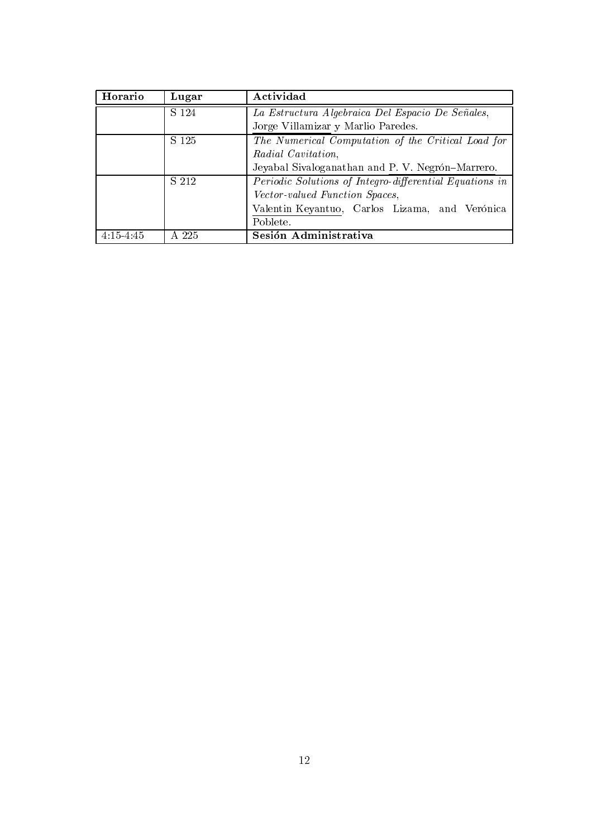| Horario     | Lugar | Actividad                                               |
|-------------|-------|---------------------------------------------------------|
|             | S 124 | La Estructura Algebraica Del Espacio De Señales,        |
|             |       | Jorge Villamizar y Marlio Paredes.                      |
|             | S 125 | The Numerical Computation of the Critical Load for      |
|             |       | Radial Cavitation,                                      |
|             |       | Jeyabal Sivaloganathan and P. V. Negrón-Marrero.        |
|             | S 212 | Periodic Solutions of Integro-differential Equations in |
|             |       | Vector-valued Function Spaces,                          |
|             |       | Valentin Keyantuo, Carlos Lizama, and Verónica          |
|             |       | Poblete.                                                |
| $4:15-4:45$ | A 225 | Sesión Administrativa                                   |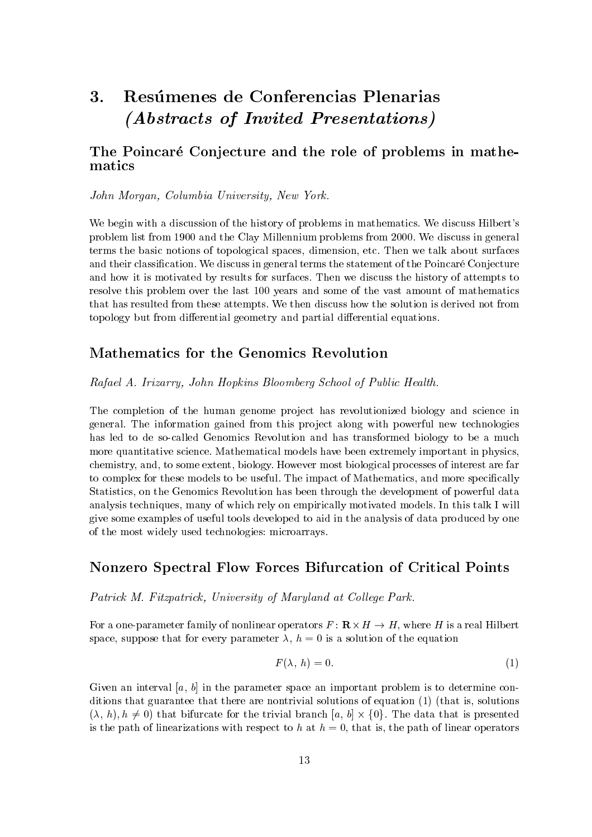## Resúmenes de Conferencias Plenarias 3. (Abstracts of Invited Presentations)

## The Poincaré Conjecture and the role of problems in mathematics

#### John Morgan, Columbia University, New York.

We begin with a discussion of the history of problems in mathematics. We discuss Hilbert's problem list from 1900 and the Clay Millennium problems from 2000. We discuss in general terms the basic notions of topological spaces, dimension, etc. Then we talk about surfaces and their classification. We discuss in general terms the statement of the Poincaré Conjecture and how it is motivated by results for surfaces. Then we discuss the history of attempts to resolve this problem over the last 100 years and some of the vast amount of mathematics that has resulted from these attempts. We then discuss how the solution is derived not from topology but from differential geometry and partial differential equations.

## Mathematics for the Genomics Revolution

#### Rafael A. Irizarry, John Hopkins Bloomberg School of Public Health.

The completion of the human genome project has revolutionized biology and science in general. The information gained from this project along with powerful new technologies has led to de so-called Genomics Revolution and has transformed biology to be a much more quantitative science. Mathematical models have been extremely important in physics, chemistry, and, to some extent, biology. However most biological processes of interest are far to complex for these models to be useful. The impact of Mathematics, and more specifically Statistics, on the Genomics Revolution has been through the development of powerful data analysis techniques, many of which rely on empirically motivated models. In this talk I will give some examples of useful tools developed to aid in the analysis of data produced by one of the most widely used technologies: microarrays.

## **Nonzero Spectral Flow Forces Bifurcation of Critical Points**

Patrick M. Fitzpatrick, University of Maryland at College Park.

For a one-parameter family of nonlinear operators  $F: \mathbb{R} \times H \to H$ , where H is a real Hilbert space, suppose that for every parameter  $\lambda$ ,  $h = 0$  is a solution of the equation

$$
F(\lambda, h) = 0. \tag{1}
$$

Given an interval [a, b] in the parameter space an important problem is to determine conditions that guarantee that there are nontrivial solutions of equation (1) (that is, solutions  $(\lambda, h), h \neq 0$  that bifurcate for the trivial branch  $[a, b] \times \{0\}$ . The data that is presented is the path of linearizations with respect to h at  $h = 0$ , that is, the path of linear operators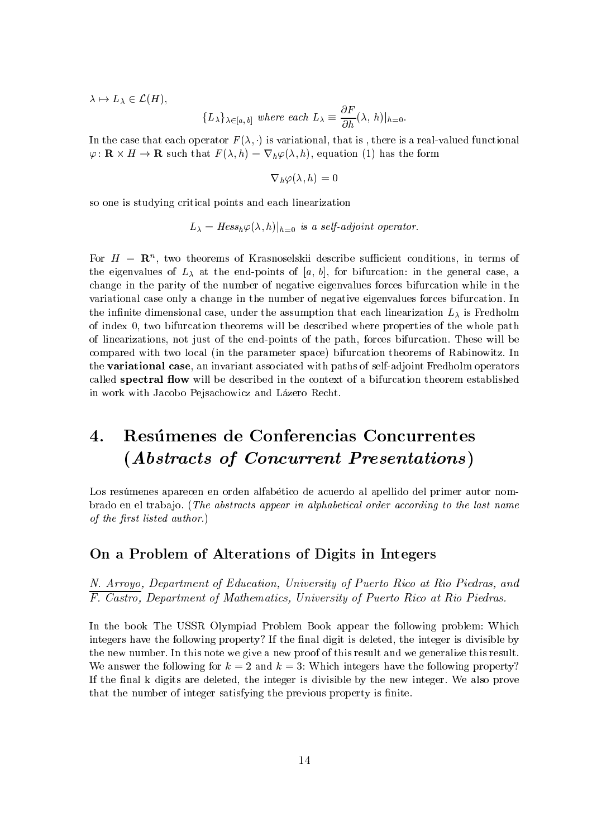$\lambda \mapsto L_{\lambda} \in \mathcal{L}(H),$ 

$$
\{L_{\lambda}\}_{\lambda \in [a,b]} \text{ where each } L_{\lambda} \equiv \frac{\partial F}{\partial h}(\lambda, h)|_{h=0}.
$$

In the case that each operator  $F(\lambda, \cdot)$  is variational, that is, there is a real-valued functional  $\varphi: \mathbf{R} \times H \to \mathbf{R}$  such that  $F(\lambda, h) = \nabla_h \varphi(\lambda, h)$ , equation (1) has the form

$$
\nabla_h \varphi(\lambda, h) = 0
$$

so one is studying critical points and each linearization

$$
L_{\lambda} = Hess_h \varphi(\lambda, h)|_{h=0}
$$
 is a self-adjoint operator.

For  $H = \mathbb{R}^n$ , two theorems of Krasnoselskii describe sufficient conditions, in terms of the eigenvalues of  $L_{\lambda}$  at the end-points of [a, b], for bifurcation: in the general case, a change in the parity of the number of negative eigenvalues forces bifurcation while in the variational case only a change in the number of negative eigenvalues forces bifurcation. In the infinite dimensional case, under the assumption that each linearization  $L_{\lambda}$  is Fredholm of index 0, two bifurcation theorems will be described where properties of the whole path of linearizations, not just of the end-points of the path, forces bifurcation. These will be compared with two local (in the parameter space) bifurcation theorems of Rabinowitz. In the variational case, an invariant associated with paths of self-adjoint Fredholm operators called spectral flow will be described in the context of a bifurcation theorem established in work with Jacobo Pejsachowicz and Lázero Recht.

## Resúmenes de Conferencias Concurrentes 4. (Abstracts of Concurrent Presentations)

Los resúmenes aparecen en orden alfabético de acuerdo al apellido del primer autor nombrado en el trabajo. (The abstracts appear in alphabetical order according to the last name of the first listed author.)

## On a Problem of Alterations of Digits in Integers

N. Arroyo, Department of Education, University of Puerto Rico at Rio Piedras, and  $\overline{F. \text{ Castro}}$ , Department of Mathematics, University of Puerto Rico at Rio Piedras.

In the book The USSR Olympiad Problem Book appear the following problem: Which integers have the following property? If the final digit is deleted, the integer is divisible by the new number. In this note we give a new proof of this result and we generalize this result. We answer the following for  $k = 2$  and  $k = 3$ : Which integers have the following property? If the final k digits are deleted, the integer is divisible by the new integer. We also prove that the number of integer satisfying the previous property is finite.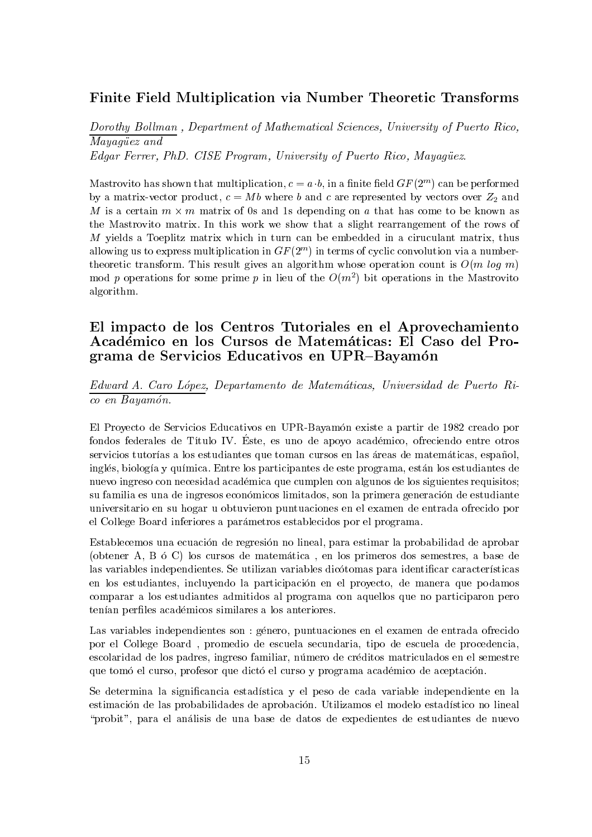## Finite Field Multiplication via Number Theoretic Transforms

Dorothy Bollman, Department of Mathematical Sciences, University of Puerto Rico, Mayaqüez and Edgar Ferrer, PhD. CISE Program, University of Puerto Rico, Mayagüez.

Mastrovito has shown that multiplication,  $c = a \cdot b$ , in a finite field  $GF(2^m)$  can be performed by a matrix-vector product,  $c = Mb$  where b and c are represented by vectors over  $Z_2$  and M is a certain  $m \times m$  matrix of 0s and 1s depending on a that has come to be known as the Mastrovito matrix. In this work we show that a slight rearrangement of the rows of M yields a Toeplitz matrix which in turn can be embedded in a ciruculant matrix, thus allowing us to express multiplication in  $GF(2^m)$  in terms of cyclic convolution via a numbertheoretic transform. This result gives an algorithm whose operation count is  $O(m \log m)$ mod p operations for some prime p in lieu of the  $O(m^2)$  bit operations in the Mastrovito algorithm.

## El impacto de los Centros Tutoriales en el Aprovechamiento Académico en los Cursos de Matemáticas: El Caso del Programa de Servicios Educativos en UPR-Bayamón

Edward A. Caro López, Departamento de Matemáticas, Universidad de Puerto Rico en Bayamón.

El Proyecto de Servicios Educativos en UPR-Bayamón existe a partir de 1982 creado por fondos federales de Título IV. Éste, es uno de apoyo académico, ofreciendo entre otros servicios tutorías a los estudiantes que toman cursos en las áreas de matemáticas, español, inglés, biología y química. Entre los participantes de este programa, están los estudiantes de nuevo ingreso con necesidad académica que cumplen con algunos de los siguientes requisitos; su familia es una de ingresos económicos limitados, son la primera generación de estudiante universitario en su hogar u obtuvieron puntuaciones en el examen de entrada ofrecido por el College Board inferiores a parámetros establecidos por el programa.

Establecemos una ecuación de regresión no lineal, para estimar la probabilidad de aprobar (obtener A, B ó C) los cursos de matemática, en los primeros dos semestres, a base de las variables independientes. Se utilizan variables dicótomas para identificar características en los estudiantes, incluyendo la participación en el proyecto, de manera que podamos comparar a los estudiantes admitidos al programa con aquellos que no participaron pero tenían perfiles académicos similares a los anteriores.

Las variables independientes son : género, puntuaciones en el examen de entrada ofrecido por el College Board, promedio de escuela secundaria, tipo de escuela de procedencia, escolaridad de los padres, ingreso familiar, número de créditos matriculados en el semestre que tomó el curso, profesor que dictó el curso y programa académico de aceptación.

Se determina la significancia estadística y el peso de cada variable independiente en la estimación de las probabilidades de aprobación. Utilizamos el modelo estadístico no lineal "probit", para el análisis de una base de datos de expedientes de estudiantes de nuevo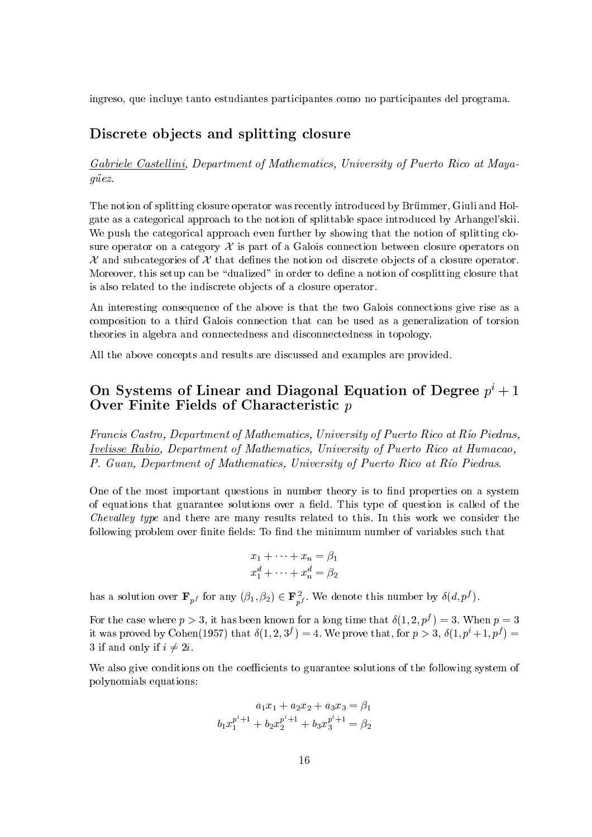ingreso, que incluye tanto estudiantes participantes como no participantes del programa.

## Discrete objects and splitting closure

#### Gabriele Castellini, Department of Mathematics, University of Puerto Rico at Mayagüez.

The notion of splitting closure operator was recently introduced by Brümmer, Giuli and Holgate as a categorical approach to the notion of splittable space introduced by Arhangel'skii. We push the categorical approach even further by showing that the notion of splitting closure operator on a category  $\mathcal X$  is part of a Galois connection between closure operators on  $\mathcal X$  and subcategories of  $\mathcal X$  that defines the notion od discrete objects of a closure operator. Moreover, this setup can be "dualized" in order to define a notion of cosplitting closure that is also related to the indiscrete objects of a closure operator.

An interesting consequence of the above is that the two Galois connections give rise as a composition to a third Galois connection that can be used as a generalization of torsion theories in algebra and connectedness and disconnectedness in topology.

All the above concepts and results are discussed and examples are provided.

## On Systems of Linear and Diagonal Equation of Degree  $p^{i}+1$ Over Finite Fields of Characteristic  $p$

Francis Castro, Department of Mathematics, University of Puerto Rico at Río Piedras. Ivelisse Rubio, Department of Mathematics, University of Puerto Rico at Humacao, P. Guan, Department of Mathematics, University of Puerto Rico at Río Piedras.

One of the most important questions in number theory is to find properties on a system of equations that guarantee solutions over a field. This type of question is called of the *Chevalley type* and there are many results related to this. In this work we consider the following problem over finite fields: To find the minimum number of variables such that

$$
x_1 + \dots + x_n = \beta_1
$$
  

$$
x_1^d + \dots + x_n^d = \beta_2
$$

has a solution over  $\mathbf{F}_{p^f}$  for any  $(\beta_1, \beta_2) \in \mathbf{F}_{p^f}^2$ . We denote this number by  $\delta(d, p^f)$ .

For the case where  $p > 3$ , it has been known for a long time that  $\delta(1, 2, p^f) = 3$ . When  $p = 3$ it was proved by Cohen(1957) that  $\delta(1,2,3^f) = 4$ . We prove that, for  $p > 3$ ,  $\delta(1, p^i + 1, p^f) =$ 3 if and only if  $i \neq 2i$ .

We also give conditions on the coefficients to guarantee solutions of the following system of polynomials equations:

$$
a_1x_1 + a_2x_2 + a_3x_3 = \beta_1
$$
  

$$
b_1x_1^{p^i+1} + b_2x_2^{p^i+1} + b_3x_3^{p^i+1} = \beta_2
$$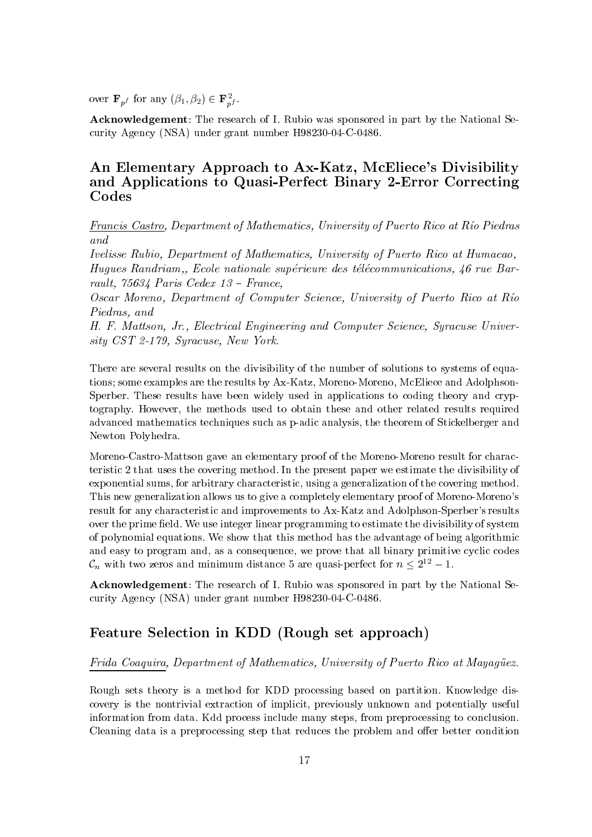over  $\mathbf{F}_{pf}$  for any  $(\beta_1, \beta_2) \in \mathbf{F}_{pf}^2$ .

**Acknowledgement:** The research of I. Rubio was sponsored in part by the National Security Agency (NSA) under grant number H98230-04-C-0486.

## An Elementary Approach to Ax-Katz, McEliece's Divisibility and Applications to Quasi-Perfect Binary 2-Error Correcting Codes

Francis Castro, Department of Mathematics, University of Puerto Rico at Río Piedras and

Ivelisse Rubio, Department of Mathematics, University of Puerto Rico at Humacao, Hugues Randriam, Ecole nationale supérieure des télécommunications, 46 rue Barrault,  $75634$  Paris Cedex  $13$  – France,

Oscar Moreno, Department of Computer Science, University of Puerto Rico at Río Piedras, and

H. F. Mattson, Jr., Electrical Engineering and Computer Science, Syracuse University CST 2-179, Syracuse, New York.

There are several results on the divisibility of the number of solutions to systems of equations; some examples are the results by Ax-Katz, Moreno-Moreno, McEliece and Adolphson-Sperber. These results have been widely used in applications to coding theory and cryptography. However, the methods used to obtain these and other related results required advanced mathematics techniques such as p-adic analysis, the theorem of Stickelberger and Newton Polyhedra.

Moreno-Castro-Mattson gave an elementary proof of the Moreno-Moreno result for characteristic 2 that uses the covering method. In the present paper we estimate the divisibility of exponential sums, for arbitrary characteristic, using a generalization of the covering method. This new generalization allows us to give a completely elementary proof of Moreno-Moreno's result for any characteristic and improvements to Ax-Katz and Adolphson-Sperber's results over the prime field. We use integer linear programming to estimate the divisibility of system of polynomial equations. We show that this method has the advantage of being algorithmic and easy to program and, as a consequence, we prove that all binary primitive cyclic codes  $\mathcal{C}_n$  with two zeros and minimum distance 5 are quasi-perfect for  $n \leq 2^{12} - 1$ .

**Acknowledgement:** The research of I. Rubio was sponsored in part by the National Security Agency (NSA) under grant number H98230-04-C-0486.

## Feature Selection in KDD (Rough set approach)

#### Frida Coaquira, Department of Mathematics, University of Puerto Rico at Mayaquez.

Rough sets theory is a method for KDD processing based on partition. Knowledge discovery is the nontrivial extraction of implicit, previously unknown and potentially useful information from data. Kdd process include many steps, from preprocessing to conclusion. Cleaning data is a preprocessing step that reduces the problem and offer better condition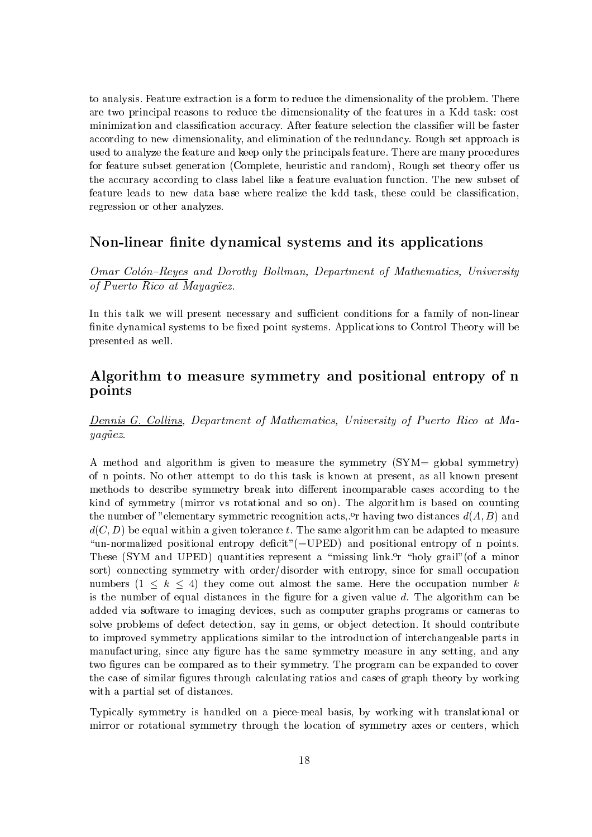to analysis. Feature extraction is a form to reduce the dimensionality of the problem. There are two principal reasons to reduce the dimensionality of the features in a Kdd task: cost minimization and classification accuracy. After feature selection the classifier will be faster according to new dimensionality, and elimination of the redundancy. Rough set approach is used to analyze the feature and keep only the principals feature. There are many procedures for feature subset generation (Complete, heuristic and random), Rough set theory offer us the accuracy according to class label like a feature evaluation function. The new subset of feature leads to new data base where realize the kdd task, these could be classification, regression or other analyzes.

## Non-linear finite dynamical systems and its applications

Omar Colón-Reyes and Dorothy Bollman, Department of Mathematics, University of Puerto Rico at Mayaquez.

In this talk we will present necessary and sufficient conditions for a family of non-linear finite dynamical systems to be fixed point systems. Applications to Control Theory will be presented as well.

## Algorithm to measure symmetry and positional entropy of n points

Dennis G. Collins, Department of Mathematics, University of Puerto Rico at Ma- $\emph{u}aaiez.$ 

A method and algorithm is given to measure the symmetry (SYM= global symmetry) of n points. No other attempt to do this task is known at present, as all known present methods to describe symmetry break into different incomparable cases according to the kind of symmetry (mirror vs rotational and so on). The algorithm is based on counting the number of "elementary symmetric recognition acts, or having two distances  $d(A, B)$  and  $d(C, D)$  be equal within a given tolerance t. The same algorithm can be adapted to measure "un-normalized positional entropy deficit" ( $=$ UPED) and positional entropy of n points. These (SYM and UPED) quantities represent a "missing link.<sup>o</sup>r "holy grail" (of a minor sort) connecting symmetry with order/disorder with entropy, since for small occupation numbers  $(1 \le k \le 4)$  they come out almost the same. Here the occupation number k is the number of equal distances in the figure for a given value  $d$ . The algorithm can be added via software to imaging devices, such as computer graphs programs or cameras to solve problems of defect detection, say in gems, or object detection. It should contribute to improved symmetry applications similar to the introduction of interchangeable parts in manufacturing, since any figure has the same symmetry measure in any setting, and any two figures can be compared as to their symmetry. The program can be expanded to cover the case of similar figures through calculating ratios and cases of graph theory by working with a partial set of distances.

Typically symmetry is handled on a piece-meal basis, by working with translational or mirror or rotational symmetry through the location of symmetry axes or centers, which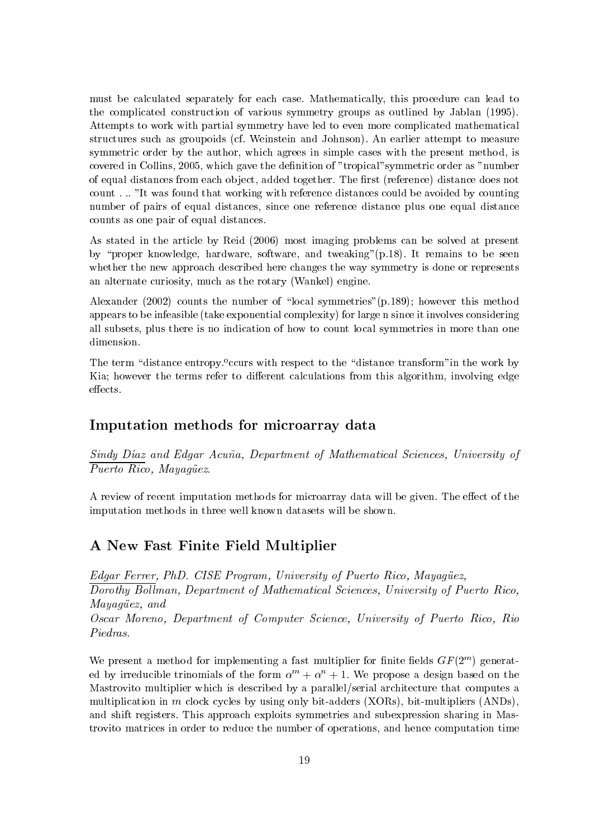must be calculated separately for each case. Mathematically, this procedure can lead to the complicated construction of various symmetry groups as outlined by Jablan (1995). Attempts to work with partial symmetry have led to even more complicated mathematical structures such as groupoids (cf. Weinstein and Johnson). An earlier attempt to measure symmetric order by the author, which agrees in simple cases with the present method, is covered in Collins, 2005, which gave the definition of "tropical" symmetric order as "number of equal distances from each object, added together. The first (reference) distance does not count..."It was found that working with reference distances could be avoided by counting number of pairs of equal distances, since one reference distance plus one equal distance counts as one pair of equal distances.

As stated in the article by Reid (2006) most imaging problems can be solved at present by "proper knowledge, hardware, software, and tweaking" (p.18). It remains to be seen whether the new approach described here changes the way symmetry is done or represents an alternate curiosity, much as the rotary (Wankel) engine.

Alexander (2002) counts the number of "local symmetries" (p.189); however this method appears to be infeasible (take exponential complexity) for large n since it involves considering all subsets, plus there is no indication of how to count local symmetries in more than one dimension.

The term "distance entropy. "cours with respect to the "distance transform" in the work by Kia: however the terms refer to different calculations from this algorithm, involving edge effects.

## Imputation methods for microarray data

Sindy Díaz and Edgar Acuña, Department of Mathematical Sciences, University of  $\overline{Puerto \; Rico, \; May a \ddot{q} \ddot{u} ez.}$ 

A review of recent imputation methods for microarray data will be given. The effect of the imputation methods in three well known datasets will be shown.

## A New Fast Finite Field Multiplier

Edgar Ferrer, PhD. CISE Program, University of Puerto Rico, Mayagüez, Dorothy Bollman, Department of Mathematical Sciences, University of Puerto Rico, Mayaquez, and Oscar Moreno, Department of Computer Science, University of Puerto Rico, Rio Piedras.

We present a method for implementing a fast multiplier for finite fields  $GF(2^m)$  generated by irreducible trinomials of the form  $\alpha^{m} + \alpha^{n} + 1$ . We propose a design based on the Mastrovito multiplier which is described by a parallel/serial architecture that computes a multiplication in m clock cycles by using only bit-adders  $(XORs)$ , bit-multipliers  $(ANDs)$ , and shift registers. This approach exploits symmetries and subexpression sharing in Mastrovito matrices in order to reduce the number of operations, and hence computation time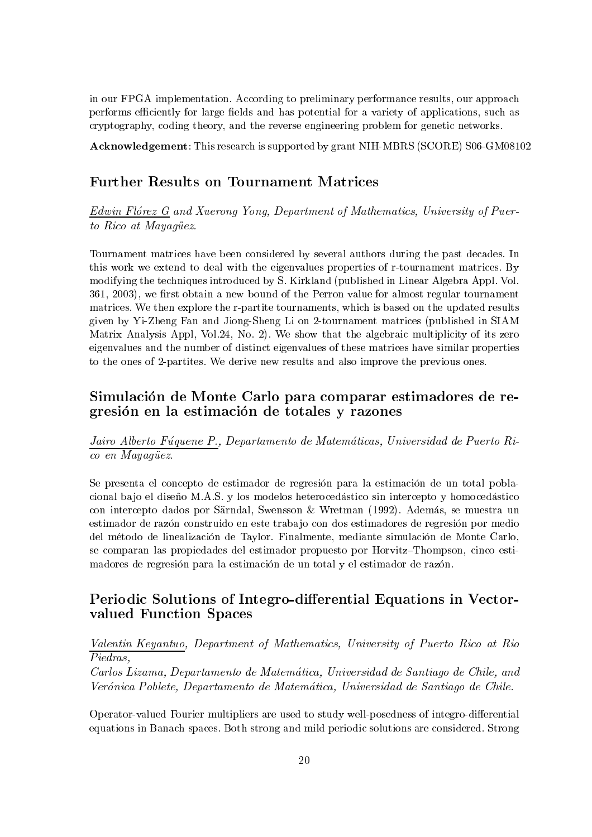in our FPGA implementation. According to preliminary performance results, our approach performs efficiently for large fields and has potential for a variety of applications, such as cryptography, coding theory, and the reverse engineering problem for genetic networks.

Acknowledgement: This research is supported by grant NIH-MBRS (SCORE) S06-GM08102

## **Further Results on Tournament Matrices**

Edwin Flórez G and Xuerong Yong, Department of Mathematics, University of Puerto Rico at Mayaquez.

Tournament matrices have been considered by several authors during the past decades. In this work we extend to deal with the eigenvalues properties of r-tournament matrices. By modifying the techniques introduced by S. Kirkland (published in Linear Algebra Appl. Vol. 361, 2003), we first obtain a new bound of the Perron value for almost regular tournament matrices. We then explore the r-partite tournaments, which is based on the updated results given by Yi-Zheng Fan and Jiong-Sheng Li on 2-tournament matrices (published in SIAM Matrix Analysis Appl, Vol.24, No. 2). We show that the algebraic multiplicity of its zero eigenvalues and the number of distinct eigenvalues of these matrices have similar properties to the ones of 2-partities. We derive new results and also improve the previous ones.

## Simulación de Monte Carlo para comparar estimadores de regresión en la estimación de totales y razones

Jairo Alberto Fúquene P., Departamento de Matemáticas, Universidad de Puerto Rico en Mayagüez.

Se presenta el concepto de estimador de regresión para la estimación de un total poblacional bajo el diseño M.A.S. y los modelos heterocedástico sin intercepto y homocedástico con intercepto dados por Särndal, Swensson & Wretman (1992). Además, se muestra un estimador de razón construido en este trabajo con dos estimadores de regresión por medio del método de linealización de Taylor. Finalmente, mediante simulación de Monte Carlo, se comparan las propiedades del estimador propuesto por Horvitz-Thompson, cinco estimadores de regresión para la estimación de un total y el estimador de razón.

## Periodic Solutions of Integro-differential Equations in Vectorvalued Function Spaces

 $\frac{Valentin\ Keyantuo}{Piedras,} \ \begin{minipage}[c]{0.9\linewidth} \textit{Department of Mathematics, University of Puerto Rico at Rio} \end{minipage}$ 

Carlos Lizama, Departamento de Matemática, Universidad de Santiago de Chile, and Verónica Poblete, Departamento de Matemática, Universidad de Santiago de Chile.

Operator-valued Fourier multipliers are used to study well-posedness of integro-differential equations in Banach spaces. Both strong and mild periodic solutions are considered. Strong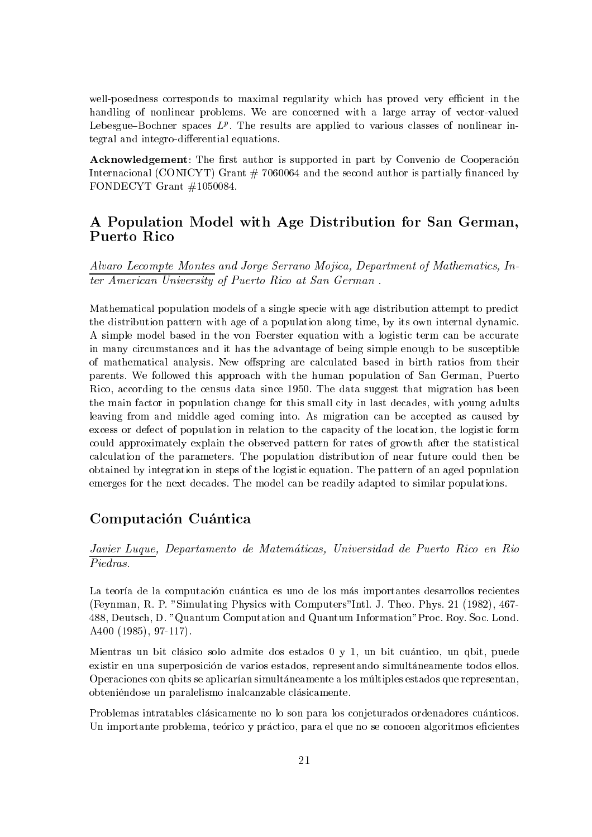well-posedness corresponds to maximal regularity which has proved very efficient in the handling of nonlinear problems. We are concerned with a large array of vector-valued Lebesgue–Bochner spaces  $L^p$ . The results are applied to various classes of nonlinear integral and integro-differential equations.

Acknowledgement: The first author is supported in part by Convenio de Cooperación Internacional (CONICYT) Grant  $# 7060064$  and the second author is partially financed by FONDECYT Grant  $\#1050084$ .

## A Population Model with Age Distribution for San German, Puerto Rico

Alvaro Lecompte Montes and Jorge Serrano Mojica, Department of Mathematics, In*ter American University of Puerto Rico at San German.* 

Mathematical population models of a single specie with age distribution attempt to predict the distribution pattern with age of a population along time, by its own internal dynamic. A simple model based in the von Foerster equation with a logistic term can be accurate in many circumstances and it has the advantage of being simple enough to be susceptible of mathematical analysis. New offspring are calculated based in birth ratios from their parents. We followed this approach with the human population of San German, Puerto Rico, according to the census data since 1950. The data suggest that migration has been the main factor in population change for this small city in last decades, with young adults leaving from and middle aged coming into. As migration can be accepted as caused by excess or defect of population in relation to the capacity of the location, the logistic form could approximately explain the observed pattern for rates of growth after the statistical calculation of the parameters. The population distribution of near future could then be obtained by integration in steps of the logistic equation. The pattern of an aged population emerges for the next decades. The model can be readily adapted to similar populations.

## Computación Cuántica

Javier Luque, Departamento de Matemáticas, Universidad de Puerto Rico en Rio  $\overline{Piedras.}$ 

La teoría de la computación cuántica es uno de los más importantes desarrollos recientes (Feynman, R. P. "Simulating Physics with Computers"Intl. J. Theo. Phys. 21 (1982), 467-488, Deutsch, D. "Quantum Computation and Quantum Information" Proc. Roy. Soc. Lond. A400 (1985), 97-117).

Mientras un bit clásico solo admite dos estados 0 y 1, un bit cuántico, un qbit, puede existir en una superposición de varios estados, representando simultáneamente todos ellos. Operaciones con qbits se aplicarían simultáneamente a los múltiples estados que representan, obteniéndose un paralelismo inalcanzable clásicamente.

Problemas intratables clásicamente no lo son para los conjeturados ordenadores cuánticos. Un importante problema, teórico y práctico, para el que no se conocen algoritmos eficientes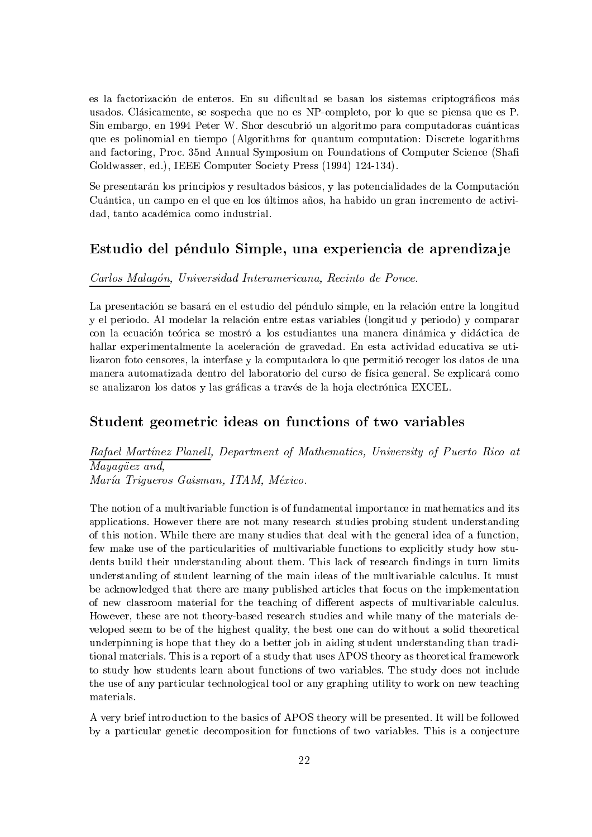es la factorización de enteros. En su dificultad se basan los sistemas criptográficos más usados. Clásicamente, se sospecha que no es NP-completo, por lo que se piensa que es P. Sin embargo, en 1994 Peter W. Shor descubrió un algoritmo para computadoras cuánticas que es polinomial en tiempo (Algorithms for quantum computation: Discrete logarithms and factoring, Proc. 35nd Annual Symposium on Foundations of Computer Science (Shaft Goldwasser, ed.), IEEE Computer Society Press (1994) 124-134).

Se presentarán los principios y resultados básicos, y las potencialidades de la Computación Cuántica, un campo en el que en los últimos años, ha habido un gran incremento de actividad, tanto académica como industrial.

## Estudio del péndulo Simple, una experiencia de aprendizaje

#### Carlos Malagón, Universidad Interamericana, Recinto de Ponce.

La presentación se basará en el estudio del péndulo simple, en la relación entre la longitud y el periodo. Al modelar la relación entre estas variables (longitud y periodo) y comparar con la ecuación teórica se mostró a los estudiantes una manera dinámica y didáctica de hallar experimentalmente la aceleración de gravedad. En esta actividad educativa se utilizaron foto censores, la interfase y la computadora lo que permitió recoger los datos de una manera automatizada dentro del laboratorio del curso de física general. Se explicará como se analizaron los datos y las gráficas a través de la hoja electrónica EXCEL.

## Student geometric ideas on functions of two variables

Rafael Martínez Planell, Department of Mathematics, University of Puerto Rico at Mayaqüez and,

María Trigueros Gaisman, ITAM, México.

The notion of a multivariable function is of fundamental importance in mathematics and its applications. However there are not many research studies probing student understanding of this notion. While there are many studies that deal with the general idea of a function, few make use of the particularities of multivariable functions to explicitly study how students build their understanding about them. This lack of research findings in turn limits understanding of student learning of the main ideas of the multivariable calculus. It must be acknowledged that there are many published articles that focus on the implementation of new classroom material for the teaching of different aspects of multivariable calculus. However, these are not theory-based research studies and while many of the materials developed seem to be of the highest quality, the best one can do without a solid theoretical underpinning is hope that they do a better job in aiding student understanding than traditional materials. This is a report of a study that uses APOS theory as theoretical framework to study how students learn about functions of two variables. The study does not include the use of any particular technological tool or any graphing utility to work on new teaching materials.

A very brief introduction to the basics of APOS theory will be presented. It will be followed by a particular genetic decomposition for functions of two variables. This is a conjecture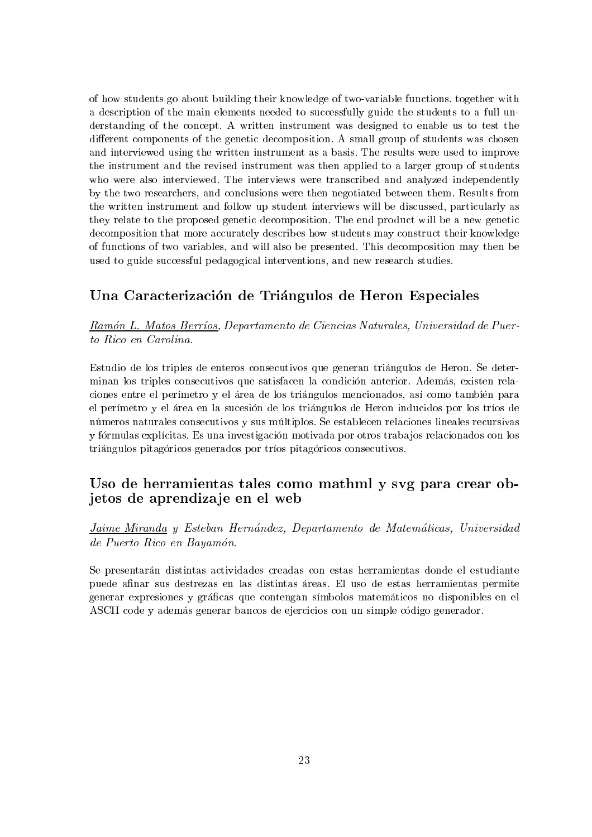of how students go about building their knowledge of two-variable functions, together with a description of the main elements needed to successfully guide the students to a full understanding of the concept. A written instrument was designed to enable us to test the different components of the genetic decomposition. A small group of students was chosen and interviewed using the written instrument as a basis. The results were used to improve the instrument and the revised instrument was then applied to a larger group of students who were also interviewed. The interviews were transcribed and analyzed independently by the two researchers, and conclusions were then negotiated between them. Results from the written instrument and follow up student interviews will be discussed, particularly as they relate to the proposed genetic decomposition. The end product will be a new genetic decomposition that more accurately describes how students may construct their knowledge of functions of two variables, and will also be presented. This decomposition may then be used to guide successful pedagogical interventions, and new research studies.

## Una Caracterización de Triángulos de Heron Especiales

Ramón L. Matos Berríos, Departamento de Ciencias Naturales, Universidad de Puerto Rico en Carolina.

Estudio de los triples de enteros consecutivos que generan triángulos de Heron. Se determinan los triples consecutivos que satisfacen la condición anterior. Además, existen relaciones entre el perímetro y el área de los triángulos mencionados, así como también para el perímetro y el área en la sucesión de los triángulos de Heron inducidos por los tríos de números naturales consecutivos y sus múltiplos. Se establecen relaciones lineales recursivas y fórmulas explícitas. Es una investigación motivada por otros trabajos relacionados con los triángulos pitagóricos generados por tríos pitagóricos consecutivos.

## Uso de herramientas tales como mathml y svg para crear objetos de aprendizaje en el web

Jaime Miranda y Esteban Hernández, Departamento de Matemáticas, Universidad de Puerto Rico en Bayamón.

Se presentarán distintas actividades creadas con estas herramientas donde el estudiante puede afinar sus destrezas en las distintas áreas. El uso de estas herramientas permite generar expresiones y gráficas que contengan símbolos matemáticos no disponibles en el ASCII code y además generar bancos de ejercicios con un simple código generador.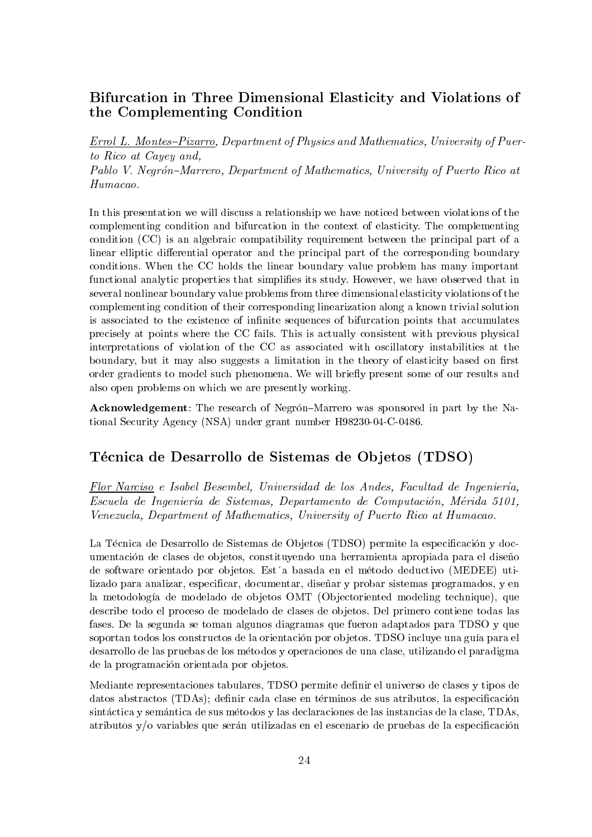## Bifurcation in Three Dimensional Elasticity and Violations of the Complementing Condition

**Errol L. Montes-Pizarro, Department of Physics and Mathematics, University of Puer**to Rico at Cayey and. Pablo V. Negrón-Marrero, Department of Mathematics, University of Puerto Rico at  $Humacao.$ 

In this presentation we will discuss a relationship we have noticed between violations of the complementing condition and bifurcation in the context of elasticity. The complementing condition (CC) is an algebraic compatibility requirement between the principal part of a linear elliptic differential operator and the principal part of the corresponding boundary conditions. When the CC holds the linear boundary value problem has many important functional analytic properties that simplifies its study. However, we have observed that in several nonlinear boundary value problems from three dimensional elasticity violations of the complementing condition of their corresponding linearization along a known trivial solution is associated to the existence of infinite sequences of bifurcation points that accumulates precisely at points where the CC fails. This is actually consistent with previous physical interpretations of violation of the CC as associated with oscillatory instabilities at the boundary, but it may also suggests a limitation in the theory of elasticity based on first order gradients to model such phenomena. We will briefly present some of our results and also open problems on which we are presently working.

**Acknowledgement:** The research of Negrón-Marrero was sponsored in part by the National Security Agency (NSA) under grant number H98230-04-C-0486.

## Técnica de Desarrollo de Sistemas de Objetos (TDSO)

Flor Narciso e Isabel Besembel, Universidad de los Andes, Facultad de Ingeniería, Escuela de Ingeniería de Sistemas, Departamento de Computación, Mérida 5101, Venezuela, Department of Mathematics, University of Puerto Rico at Humacao.

La Técnica de Desarrollo de Sistemas de Objetos (TDSO) permite la especificación y documentación de clases de objetos, constituyendo una herramienta apropiada para el diseño de software orientado por objetos. Estía basada en el método deductivo (MEDEE) utilizado para analizar, especificar, documentar, diseñar y probar sistemas programados, y en la metodología de modelado de objetos OMT (Objectoriented modeling technique), que describe todo el proceso de modelado de clases de objetos. Del primero contiene todas las fases. De la segunda se toman algunos diagramas que fueron adaptados para TDSO y que soportan todos los constructos de la orientación por objetos. TDSO incluve una guía para el desarrollo de las pruebas de los métodos y operaciones de una clase, utilizando el paradigma de la programación orientada por objetos.

Mediante representaciones tabulares. TDSO permite definir el universo de clases y tipos de datos abstractos (TDAs); definir cada clase en términos de sus atributos, la especificación sintáctica y semántica de sus métodos y las declaraciones de las instancias de la clase, TDAs, atributos  $y/\sigma$  variables que serán utilizadas en el escenario de pruebas de la especificación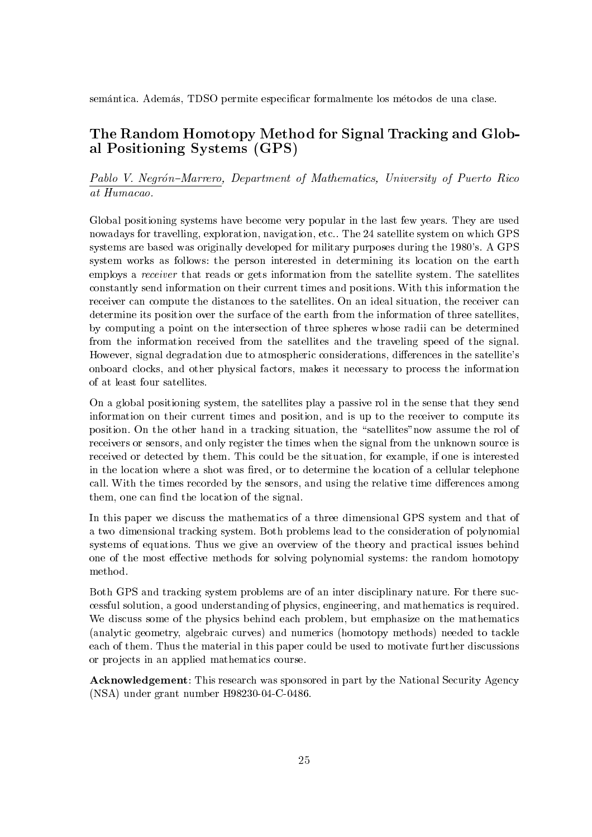semántica. Además, TDSO permite especificar formalmente los métodos de una clase.

## The Random Homotopy Method for Signal Tracking and Global Positioning Systems (GPS)

## Pablo V. Negrón-Marrero, Department of Mathematics, University of Puerto Rico at Humacao.

Global positioning systems have become very popular in the last few years. They are used nowadays for travelling, exploration, navigation, etc.. The 24 satellite system on which GPS systems are based was originally developed for military purposes during the 1980's. A GPS system works as follows: the person interested in determining its location on the earth employs a *receiver* that reads or gets information from the satellite system. The satellites constantly send information on their current times and positions. With this information the receiver can compute the distances to the satellites. On an ideal situation, the receiver can determine its position over the surface of the earth from the information of three satellites. by computing a point on the intersection of three spheres whose radii can be determined from the information received from the satellites and the traveling speed of the signal. However, signal degradation due to atmospheric considerations, differences in the satellite's onboard clocks, and other physical factors, makes it necessary to process the information of at least four satellites.

On a global positioning system, the satellites play a passive rol in the sense that they send information on their current times and position, and is up to the receiver to compute its position. On the other hand in a tracking situation, the "satellites" now assume the rol of receivers or sensors, and only register the times when the signal from the unknown source is received or detected by them. This could be the situation, for example, if one is interested in the location where a shot was fired, or to determine the location of a cellular telephone call. With the times recorded by the sensors, and using the relative time differences among them, one can find the location of the signal.

In this paper we discuss the mathematics of a three dimensional GPS system and that of a two dimensional tracking system. Both problems lead to the consideration of polynomial systems of equations. Thus we give an overview of the theory and practical issues behind one of the most effective methods for solving polynomial systems: the random homotopy method.

Both GPS and tracking system problems are of an inter disciplinary nature. For there successful solution, a good understanding of physics, engineering, and mathematics is required. We discuss some of the physics behind each problem, but emphasize on the mathematics (analytic geometry, algebraic curves) and numerics (homotopy methods) needed to tackle each of them. Thus the material in this paper could be used to motivate further discussions or projects in an applied mathematics course.

**Acknowledgement:** This research was sponsored in part by the National Security Agency  $(NSA)$  under grant number H98230-04-C-0486.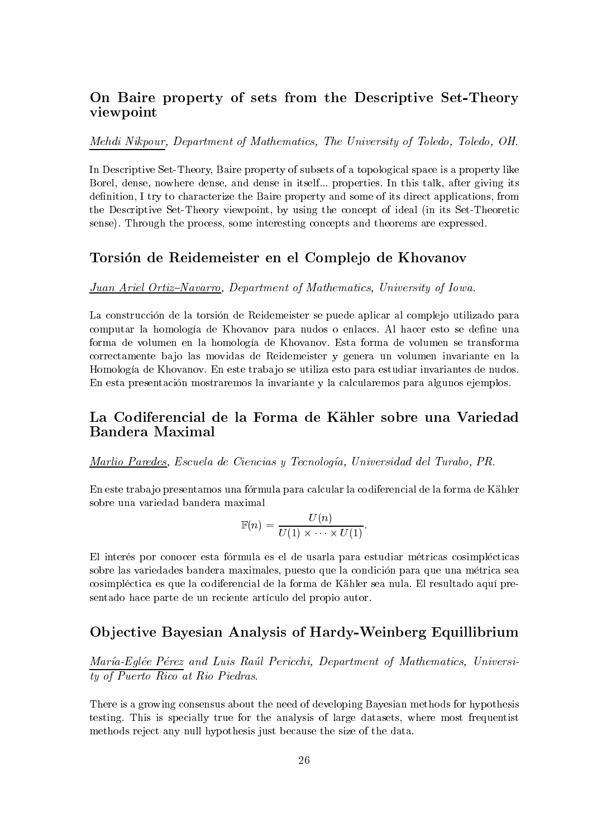## On Baire property of sets from the Descriptive Set-Theory viewpoint

#### Mehdi Nikpour, Department of Mathematics, The University of Toledo, Toledo, OH.

In Descriptive Set-Theory, Baire property of subsets of a topological space is a property like Borel, dense, nowhere dense, and dense in itself... properties. In this talk, after giving its definition, I try to characterize the Baire property and some of its direct applications, from the Descriptive Set-Theory viewpoint, by using the concept of ideal (in its Set-Theoretic sense). Through the process, some interesting concepts and theorems are expressed.

## Torsión de Reidemeister en el Complejo de Khovanov

#### Juan Ariel Ortiz-Navarro, Department of Mathematics, University of Iowa.

La construcción de la torsión de Reidemeister se puede aplicar al complejo utilizado para computar la homología de Khovanov para nudos o enlaces. Al hacer esto se define una forma de volumen en la homología de Khovanov. Esta forma de volumen se transforma correctamente bajo las movidas de Reidemeister y genera un volumen invariante en la Homología de Khovanov. En este trabajo se utiliza esto para estudiar invariantes de nudos. En esta presentación mostraremos la invariante y la calcularemos para algunos ejemplos.

## La Codiferencial de la Forma de Kähler sobre una Variedad **Bandera Maximal**

Marlio Paredes, Escuela de Ciencias y Tecnología, Universidad del Turabo, PR.

En este trabajo presentamos una fórmula para calcular la codiferencial de la forma de Kähler sobre una variedad bandera maximal

$$
\mathbb{F}(n) = \frac{U(n)}{U(1) \times \cdots \times U(1)}
$$

El interés por conocer esta fórmula es el de usarla para estudiar métricas cosimplécticas sobre las variedades bandera maximales, puesto que la condición para que una métrica sea cosimpléctica es que la codiferencial de la forma de Kähler sea nula. El resultado aquí presentado hace parte de un reciente artículo del propio autor.

## Objective Bayesian Analysis of Hardy-Weinberg Equillibrium

María-Eglée Pérez and Luis Raúl Pericchi, Department of Mathematics, Universi- $\overline{ty\ of\ Puerto\ Rico\ at\ Rio\ Piedras.}$ 

There is a growing consensus about the need of developing Bayesian methods for hypothesis testing. This is specially true for the analysis of large datasets, where most frequentist methods reject any null hypothesis just because the size of the data.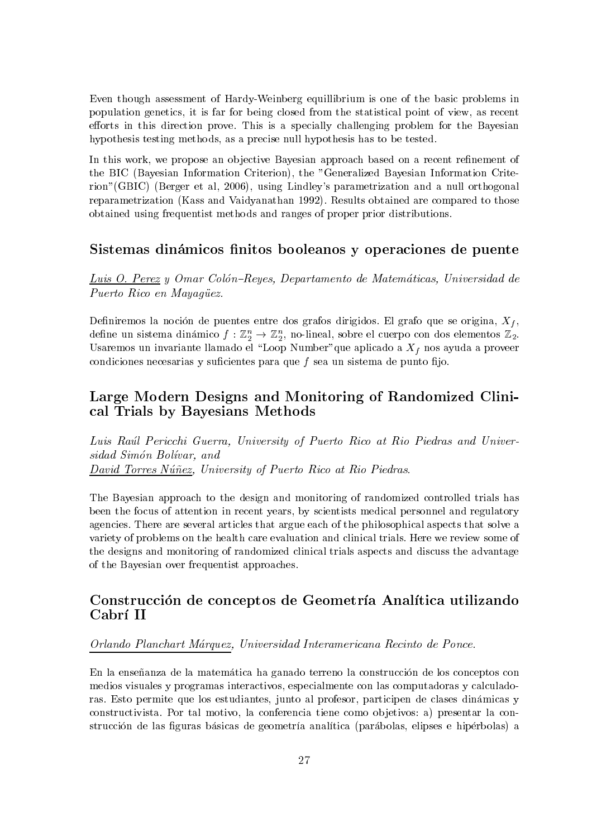Even though assessment of Hardy-Weinberg equilibrium is one of the basic problems in population genetics, it is far for being closed from the statistical point of view, as recent efforts in this direction prove. This is a specially challenging problem for the Bayesian hypothesis testing methods, as a precise null hypothesis has to be tested.

In this work, we propose an objective Bayesian approach based on a recent refinement of the BIC (Bayesian Information Criterion), the "Generalized Bayesian Information Criterion" (GBIC) (Berger et al. 2006), using Lindley's parametrization and a null orthogonal reparametrization (Kass and Vaidyanathan 1992). Results obtained are compared to those obtained using frequentist methods and ranges of proper prior distributions.

#### Sistemas dinámicos finitos booleanos y operaciones de puente

Luis O. Perez y Omar Colón-Reyes, Departamento de Matemáticas, Universidad de Puerto Rico en Mayagüez.

Definiremos la noción de puentes entre dos grafos dirigidos. El grafo que se origina,  $X_f$ , define un sistema dinámico  $f: \mathbb{Z}_2^n \to \mathbb{Z}_2^n$ , no-lineal, sobre el cuerpo con dos elementos  $\mathbb{Z}_2$ . Usaremos un invariante llamado el "Loop Number" que aplicado a  $X_f$  nos ayuda a proveer condiciones necesarias y suficientes para que  $f$  sea un sistema de punto fijo.

## Large Modern Designs and Monitoring of Randomized Clinical Trials by Bayesians Methods

Luis Raúl Pericchi Guerra. University of Puerto Rico at Rio Piedras and Universidad Simón Bolívar, and David Torres Núñez, University of Puerto Rico at Rio Piedras.

The Bayesian approach to the design and monitoring of randomized controlled trials has been the focus of attention in recent years, by scientists medical personnel and regulatory agencies. There are several articles that argue each of the philosophical aspects that solve a variety of problems on the health care evaluation and clinical trials. Here we review some of the designs and monitoring of randomized clinical trials aspects and discuss the advantage of the Bayesian over frequentist approaches.

## Construcción de conceptos de Geometría Analítica utilizando Cabrí II

#### Orlando Planchart Márquez, Universidad Interamericana Recinto de Ponce.

En la enseñanza de la matemática ha ganado terreno la construcción de los conceptos con medios visuales y programas interactivos, especialmente con las computadoras y calculadoras. Esto permite que los estudiantes, junto al profesor, participen de clases dinámicas y constructivista. Por tal motivo, la conferencia tiene como objetivos: a) presentar la construcción de las figuras básicas de geometría analítica (parábolas, elipses e hipérbolas) a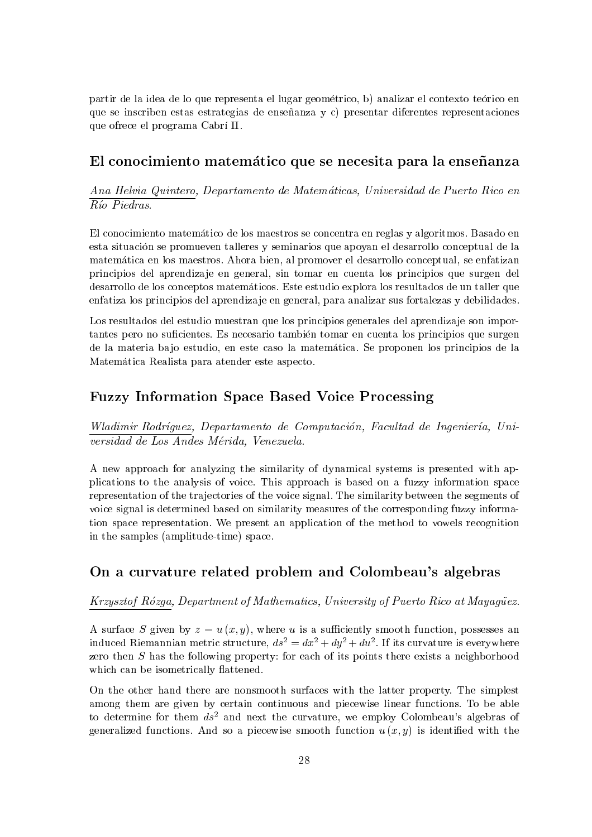partir de la idea de lo que representa el lugar geométrico, b) analizar el contexto teórico en que se inscriben estas estrategias de enseñanza y c) presentar diferentes representaciones que ofrece el programa Cabrí II.

## El conocimiento matemático que se necesita para la enseñanza

Ana Helvia Quintero, Departamento de Matemáticas, Universidad de Puerto Rico en  $R$ *io Piedras.* 

El conocimiento matemático de los maestros se concentra en reglas y algoritmos. Basado en esta situación se promueven talleres y seminarios que apoyan el desarrollo conceptual de la matemática en los maestros. Ahora bien, al promover el desarrollo conceptual, se enfatizan principios del aprendizaje en general, sin tomar en cuenta los principios que surgen del desarrollo de los conceptos matemáticos. Este estudio explora los resultados de un taller que enfatiza los principios del aprendizaje en general, para analizar sus fortalezas y debilidades.

Los resultados del estudio muestran que los principios generales del aprendizaje son importantes pero no suficientes. Es necesario también tomar en cuenta los principios que surgen de la materia bajo estudio, en este caso la matemática. Se proponen los principios de la Matemática Realista para atender este aspecto.

## **Fuzzy Information Space Based Voice Processing**

Wladimir Rodríguez, Departamento de Computación, Facultad de Ingeniería, Universidad de Los Andes Mérida, Venezuela.

A new approach for analyzing the similarity of dynamical systems is presented with applications to the analysis of voice. This approach is based on a fuzzy information space representation of the trajectories of the voice signal. The similarity between the segments of voice signal is determined based on similarity measures of the corresponding fuzzy information space representation. We present an application of the method to vowels recognition in the samples (amplitude-time) space.

## On a curvature related problem and Colombeau's algebras

Krzysztof Rózga, Department of Mathematics, University of Puerto Rico at Mayagüez.

A surface S given by  $z = u(x, y)$ , where u is a sufficiently smooth function, possesses an induced Riemannian metric structure,  $ds^2 = dx^2 + dy^2 + du^2$ . If its curvature is everywhere zero then  $S$  has the following property: for each of its points there exists a neighborhood which can be isometrically flattened.

On the other hand there are nonsmooth surfaces with the latter property. The simplest among them are given by certain continuous and piecewise linear functions. To be able to determine for them  $ds^2$  and next the curvature, we employ Colombeau's algebras of generalized functions. And so a piecewise smooth function  $u(x, y)$  is identified with the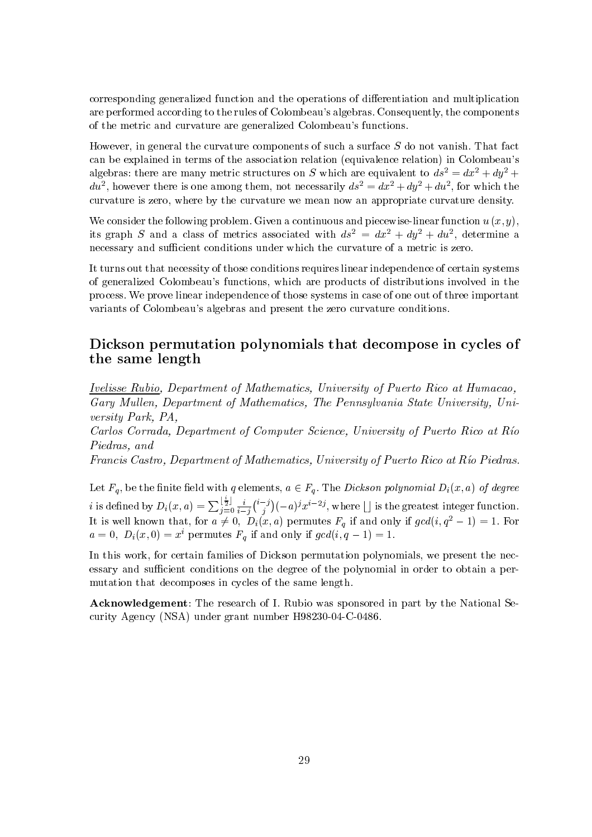corresponding generalized function and the operations of differentiation and multiplication are performed according to the rules of Colombeau's algebras. Consequently, the components of the metric and curvature are generalized Colombeau's functions.

However, in general the curvature components of such a surface S do not vanish. That fact can be explained in terms of the association relation (equivalence relation) in Colombeau's algebras: there are many metric structures on S which are equivalent to  $ds^2 = dx^2 + dy^2$  +  $du^2$ , however there is one among them, not necessarily  $ds^2 = dx^2 + dy^2 + du^2$ , for which the curvature is zero, where by the curvature we mean now an appropriate curvature density.

We consider the following problem. Given a continuous and piecewise-linear function  $u(x, y)$ , its graph S and a class of metrics associated with  $ds^2 = dx^2 + dy^2 + du^2$ , determine a necessary and sufficient conditions under which the curvature of a metric is zero.

It turns out that necessity of those conditions requires linear independence of certain systems of generalized Colombeau's functions, which are products of distributions involved in the process. We prove linear independence of those systems in case of one out of three important variants of Colombeau's algebras and present the zero curvature conditions.

## Dickson permutation polynomials that decompose in cycles of the same length

**Ivelisse Rubio**, Department of Mathematics, University of Puerto Rico at Humacao, Gary Mullen, Department of Mathematics, The Pennsylvania State University, University Park, PA,

Carlos Corrada, Department of Computer Science, University of Puerto Rico at Río Piedras, and

Francis Castro, Department of Mathematics, University of Puerto Rico at Río Piedras.

Let  $F_q$ , be the finite field with q elements,  $a \in F_q$ . The *Dickson polynomial*  $D_i(x, a)$  of degree *i* is defined by  $D_i(x, a) = \sum_{j=0}^{\lfloor \frac{i}{2} \rfloor} \frac{i}{i-j} {i-j \choose j} (-a)^j x^{i-2j}$ , where  $\lfloor \rfloor$  is the greatest integer function.<br>It is well known that, for  $a \neq 0$ ,  $D_i(x, a)$  permutes  $F_q$  if and only if  $gcd(i, q^2 - 1) = 1$ . For

In this work, for certain families of Dickson permutation polynomials, we present the necessary and sufficient conditions on the degree of the polynomial in order to obtain a permutation that decomposes in cycles of the same length.

**Acknowledgement:** The research of I. Rubio was sponsored in part by the National Security Agency (NSA) under grant number H98230-04-C-0486.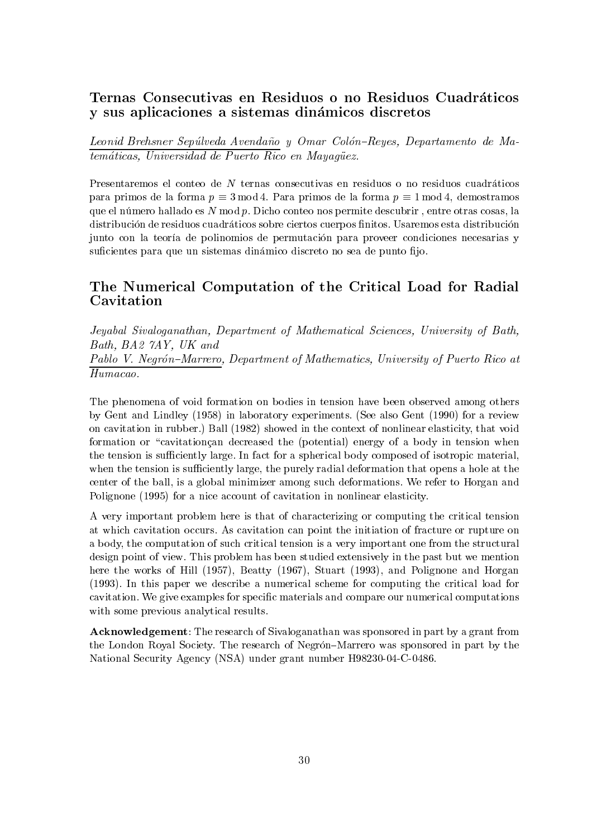## Ternas Consecutivas en Residuos o no Residuos Cuadráticos y sus aplicaciones a sistemas dinámicos discretos

Leonid Brehsner Sepúlveda Avendaño y Omar Colón-Reyes, Departamento de Matemáticas, Universidad de Puerto Rico en Mayaqüez.

Presentaremos el conteo de N ternas consecutivas en residuos o no residuos cuadráticos para primos de la forma  $p \equiv 3 \mod 4$ . Para primos de la forma  $p \equiv 1 \mod 4$ , demostramos que el número hallado es  $N \mod p$ . Dicho conteo nos permite descubrir, entre otras cosas, la distribución de residuos cuadráticos sobre ciertos cuerpos finitos. Usaremos esta distribución junto con la teoría de polinomios de permutación para proveer condiciones necesarias y suficientes para que un sistemas dinámico discreto no sea de punto fijo.

## The Numerical Computation of the Critical Load for Radial Cavitation

Jeyabal Sivaloganathan, Department of Mathematical Sciences, University of Bath, Bath, BA2 7AY, UK and

Pablo V. Negrón-Marrero, Department of Mathematics, University of Puerto Rico at  $\overline{H}$ umacao.

The phenomena of void formation on bodies in tension have been observed among others by Gent and Lindley (1958) in laboratory experiments. (See also Gent (1990) for a review on cavitation in rubber.) Ball (1982) showed in the context of nonlinear elasticity, that void formation or "cavitation can decreased the (potential) energy of a body in tension when the tension is sufficiently large. In fact for a spherical body composed of isotropic material, when the tension is sufficiently large, the purely radial deformation that opens a hole at the center of the ball, is a global minimizer among such deformations. We refer to Horgan and Polignone (1995) for a nice account of cavitation in nonlinear elasticity.

A very important problem here is that of characterizing or computing the critical tension at which cavitation occurs. As cavitation can point the initiation of fracture or rupture on a body, the computation of such critical tension is a very important one from the structural design point of view. This problem has been studied extensively in the past but we mention here the works of Hill (1957), Beatty (1967), Stuart (1993), and Polignone and Horgan (1993). In this paper we describe a numerical scheme for computing the critical load for cavitation. We give examples for specific materials and compare our numerical computations with some previous analytical results.

**Acknowledgement:** The research of Sivaloganathan was sponsored in part by a grant from the London Royal Society. The research of Negrón–Marrero was sponsored in part by the National Security Agency (NSA) under grant number H98230-04-C-0486.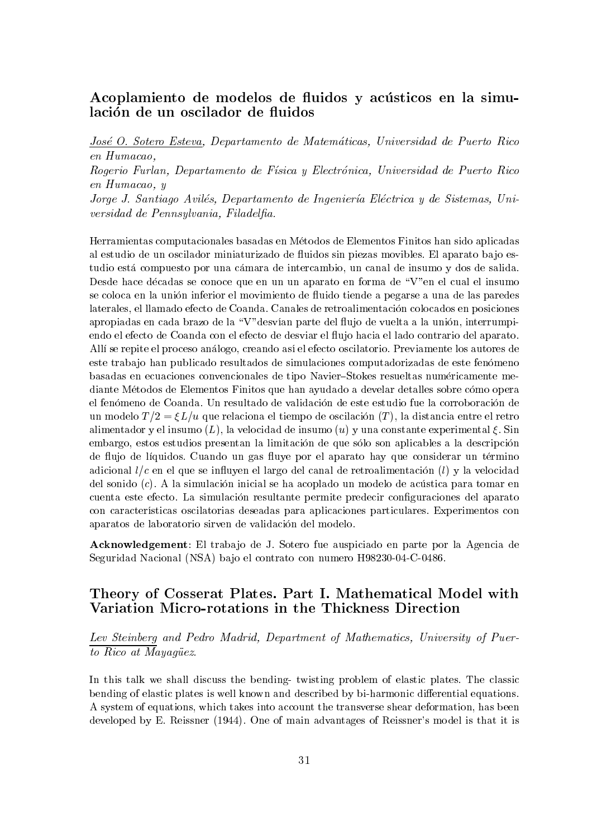## Acoplamiento de modelos de fluidos y acústicos en la simulación de un oscilador de fluidos

José O. Sotero Esteva, Departamento de Matemáticas, Universidad de Puerto Rico en Humacao.

Rogerio Furlan, Departamento de Física y Electrónica, Universidad de Puerto Rico en Humacao, y

Jorge J. Santiago Avilés, Departamento de Ingeniería Eléctrica y de Sistemas, Universidad de Pennsulvania. Filadelfia.

Herramientas computacionales basadas en Métodos de Elementos Finitos han sido aplicadas al estudio de un oscilador miniaturizado de fluidos sin piezas movibles. El aparato bajo estudio está compuesto por una cámara de intercambio, un canal de insumo y dos de salida. Desde hace décadas se conoce que en un un aparato en forma de "V" en el cual el insumo se coloca en la unión inferior el movimiento de fluido tiende a pegarse a una de las paredes laterales, el llamado efecto de Coanda. Canales de retroalimentación colocados en posiciones apropiadas en cada brazo de la "V" desvían parte del flujo de vuelta a la unión, interrumpiendo el efecto de Coanda con el efecto de desviar el flujo hacia el lado contrario del aparato. Allí se repite el proceso análogo, creando así el efecto oscilatorio. Previamente los autores de este trabajo han publicado resultados de simulaciones computadorizadas de este fenómeno basadas en ecuaciones convencionales de tipo Navier-Stokes resueltas numéricamente mediante Métodos de Elementos Finitos que han ayudado a develar detalles sobre cómo opera el fenómeno de Coanda. Un resultado de validación de este estudio fue la corroboración de un modelo  $T/2 = \xi L/u$  que relaciona el tiempo de oscilación  $(T)$ , la distancia entre el retro alimentador y el insumo  $(L)$ , la velocidad de insumo  $(u)$  y una constante experimental  $\xi$ . Sin embargo, estos estudios presentan la limitación de que sólo son aplicables a la descripción de flujo de líquidos. Cuando un gas fluye por el aparato hay que considerar un término adicional  $l/c$  en el que se influyen el largo del canal de retroalimentación (l) y la velocidad del sonido  $(c)$ . A la simulación inicial se ha acoplado un modelo de acústica para tomar en cuenta este efecto. La simulación resultante permite predecir configuraciones del aparato con características oscilatorias deseadas para aplicaciones particulares. Experimentos con aparatos de laboratorio sirven de validación del modelo.

Acknowledgement: El trabajo de J. Sotero fue auspiciado en parte por la Agencia de Seguridad Nacional (NSA) bajo el contrato con numero H98230-04-C-0486.

## Theory of Cosserat Plates. Part I. Mathematical Model with Variation Micro-rotations in the Thickness Direction

Lev Steinberg and Pedro Madrid, Department of Mathematics, University of Puerto Rico at Mayagüez.

In this talk we shall discuss the bending-twisting problem of elastic plates. The classic bending of elastic plates is well known and described by bi-harmonic differential equations. A system of equations, which takes into account the transverse shear deformation, has been developed by E. Reissner (1944). One of main advantages of Reissner's model is that it is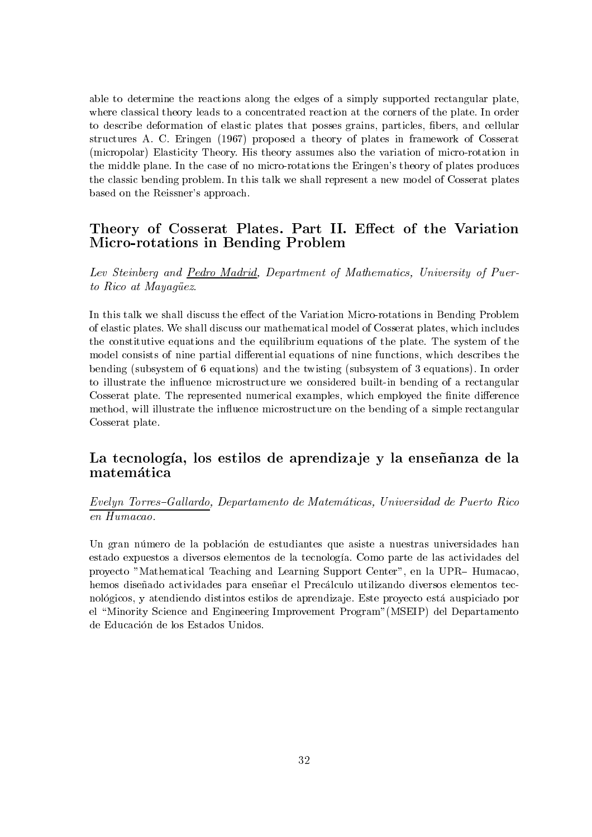able to determine the reactions along the edges of a simply supported rectangular plate, where classical theory leads to a concentrated reaction at the corners of the plate. In order to describe deformation of elastic plates that posses grains, particles, fibers, and cellular structures A. C. Eringen (1967) proposed a theory of plates in framework of Cosserat (micropolar) Elasticity Theory. His theory assumes also the variation of micro-rotation in the middle plane. In the case of no micro-rotations the Eringen's theory of plates produces the classic bending problem. In this talk we shall represent a new model of Cosserat plates based on the Reissner's approach.

## Theory of Cosserat Plates. Part II. Effect of the Variation Micro-rotations in Bending Problem

Lev Steinberg and Pedro Madrid, Department of Mathematics, University of Puerto Rico at Mayagüez.

In this talk we shall discuss the effect of the Variation Micro-rotations in Bending Problem of elastic plates. We shall discuss our mathematical model of Cosserat plates, which includes the constitutive equations and the equilibrium equations of the plate. The system of the model consists of nine partial differential equations of nine functions, which describes the bending (subsystem of 6 equations) and the twisting (subsystem of 3 equations). In order to illustrate the influence microstructure we considered built-in bending of a rectangular Cosserat plate. The represented numerical examples, which employed the finite difference method, will illustrate the influence microstructure on the bending of a simple rectangular Cosserat plate.

## La tecnología, los estilos de aprendizaje y la enseñanza de la matemática

Evelyn Torres-Gallardo, Departamento de Matemáticas, Universidad de Puerto Rico en Humacao.

Un gran número de la población de estudiantes que asiste a nuestras universidades han estado expuestos a diversos elementos de la tecnología. Como parte de las actividades del provecto "Mathematical Teaching and Learning Support Center", en la UPR-Humacao, hemos diseñado actividades para enseñar el Precálculo utilizando diversos elementos tecnológicos, y atendiendo distintos estilos de aprendizaje. Este proyecto está auspiciado por el "Minority Science and Engineering Improvement Program" (MSEIP) del Departamento de Educación de los Estados Unidos.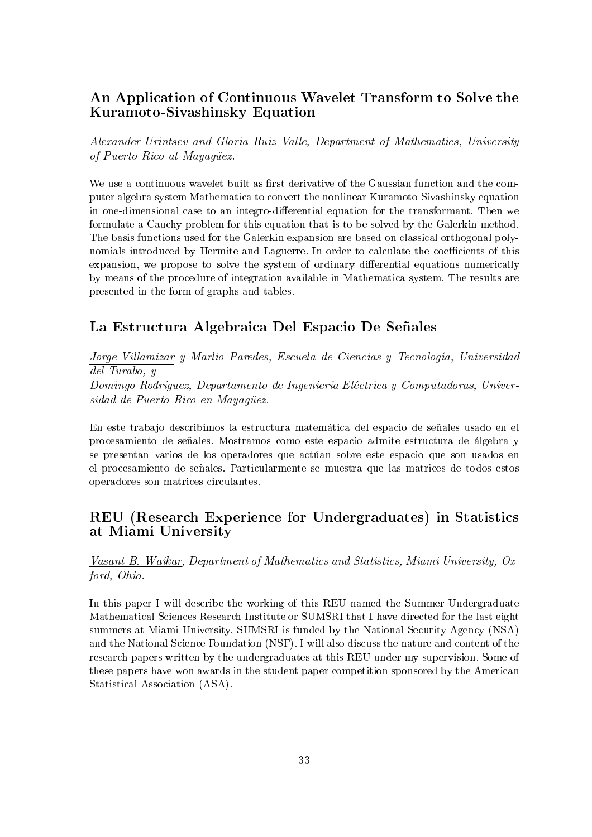## An Application of Continuous Wavelet Transform to Solve the Kuramoto-Sivashinsky Equation

Alexander Urintsev and Gloria Ruiz Valle, Department of Mathematics, University of Puerto Rico at Mayaquez.

We use a continuous wavelet built as first derivative of the Gaussian function and the computer algebra system Mathematica to convert the nonlinear Kuramoto-Sivashinsky equation in one-dimensional case to an integro-differential equation for the transformant. Then we formulate a Cauchy problem for this equation that is to be solved by the Galerkin method. The basis functions used for the Galerkin expansion are based on classical orthogonal polynomials introduced by Hermite and Laguerre. In order to calculate the coefficients of this expansion, we propose to solve the system of ordinary differential equations numerically by means of the procedure of integration available in Mathematica system. The results are presented in the form of graphs and tables.

## La Estructura Algebraica Del Espacio De Señales

Jorge Villamizar y Marlio Paredes, Escuela de Ciencias y Tecnología, Universidad  $del \; Turabo. \; y$ 

Domingo Rodríguez, Departamento de Ingeniería Eléctrica y Computadoras, Universidad de Puerto Rico en Mayagüez.

En este trabajo describimos la estructura matemática del espacio de señales usado en el procesamiento de señales. Mostramos como este espacio admite estructura de álgebra y se presentan varios de los operadores que actúan sobre este espacio que son usados en el procesamiento de señales. Particularmente se muestra que las matrices de todos estos operadores son matrices circulantes.

## REU (Research Experience for Undergraduates) in Statistics at Miami University

Vasant B. Waikar, Department of Mathematics and Statistics, Miami University, Oxford, Ohio.

In this paper I will describe the working of this REU named the Summer Undergraduate Mathematical Sciences Research Institute or SUMSRI that I have directed for the last eight summers at Miami University. SUMSRI is funded by the National Security Agency (NSA) and the National Science Foundation (NSF). I will also discuss the nature and content of the research papers written by the undergraduates at this REU under my supervision. Some of these papers have won awards in the student paper competition sponsored by the American Statistical Association (ASA).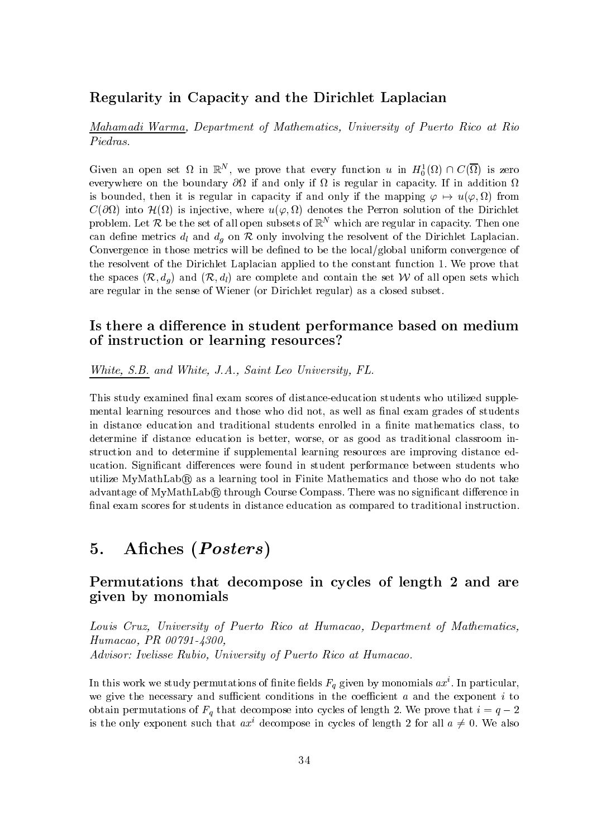## Regularity in Capacity and the Dirichlet Laplacian

Mahamadi Warma, Department of Mathematics, University of Puerto Rico at Rio Piedras.

Given an open set  $\Omega$  in  $\mathbb{R}^N$ , we prove that every function u in  $H_0^1(\Omega) \cap C(\overline{\Omega})$  is zero everywhere on the boundary  $\partial\Omega$  if and only if  $\Omega$  is regular in capacity. If in addition  $\Omega$ is bounded, then it is regular in capacity if and only if the mapping  $\varphi \mapsto u(\varphi, \Omega)$  from  $C(\partial\Omega)$  into  $\mathcal{H}(\Omega)$  is injective, where  $u(\varphi,\Omega)$  denotes the Perron solution of the Dirichlet problem. Let R be the set of all open subsets of  $\mathbb{R}^N$  which are regular in capacity. Then one can define metrics  $d_l$  and  $d_q$  on  $R$  only involving the resolvent of the Dirichlet Laplacian. Convergence in those metrics will be defined to be the local/global uniform convergence of the resolvent of the Dirichlet Laplacian applied to the constant function 1. We prove that the spaces  $(\mathcal{R}, d_a)$  and  $(\mathcal{R}, d_l)$  are complete and contain the set W of all open sets which are regular in the sense of Wiener (or Dirichlet regular) as a closed subset.

## Is there a difference in student performance based on medium of instruction or learning resources?

White, S.B. and White, J.A., Saint Leo University, FL.

This study examined final exam scores of distance-education students who utilized supplemental learning resources and those who did not, as well as final exam grades of students in distance education and traditional students enrolled in a finite mathematics class, to determine if distance education is better, worse, or as good as traditional classroom instruction and to determine if supplemental learning resources are improving distance education. Significant differences were found in student performance between students who utilize MyMathLab® as a learning tool in Finite Mathematics and those who do not take advantage of MyMathLab® through Course Compass. There was no significant difference in final exam scores for students in distance education as compared to traditional instruction.

#### Afiches (Posters) 5.

## Permutations that decompose in cycles of length 2 and are given by monomials

Louis Cruz, University of Puerto Rico at Humacao, Department of Mathematics, Humacao, PR 00791-4300, Advisor: Ivelisse Rubio, University of Puerto Rico at Humacao.

In this work we study permutations of finite fields  $F_q$  given by monomials  $ax^i$ . In particular, we give the necessary and sufficient conditions in the coefficient  $a$  and the exponent  $i$  to obtain permutations of  $F_q$  that decompose into cycles of length 2. We prove that  $i = q - 2$ is the only exponent such that  $ax^i$  decompose in cycles of length 2 for all  $a \neq 0$ . We also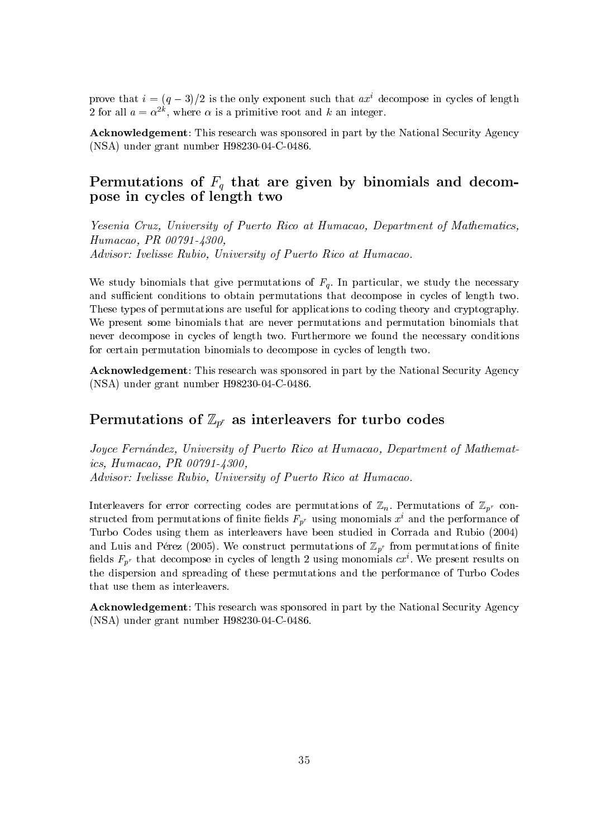prove that  $i = (q-3)/2$  is the only exponent such that  $ax^i$  decompose in cycles of length 2 for all  $a = \alpha^{2k}$ , where  $\alpha$  is a primitive root and k an integer.

**Acknowledgement:** This research was sponsored in part by the National Security Agency  $(NSA)$  under grant number H98230-04-C-0486.

## Permutations of  $F_q$  that are given by binomials and decompose in cycles of length two

Yesenia Cruz, University of Puerto Rico at Humacao, Department of Mathematics, Humacao, PR 00791-4300. Advisor: Ivelisse Rubio, University of Puerto Rico at Humacao.

We study binomials that give permutations of  $F_q$ . In particular, we study the necessary and sufficient conditions to obtain permutations that decompose in cycles of length two. These types of permutations are useful for applications to coding theory and cryptography. We present some binomials that are never permutations and permutation binomials that never decompose in cycles of length two. Furthermore we found the necessary conditions for certain permutation binomials to decompose in cycles of length two.

**Acknowledgement:** This research was sponsored in part by the National Security Agency  $(NSA)$  under grant number H98230-04-C-0486.

## Permutations of  $\mathbb{Z}_{p^r}$  as interleavers for turbo codes

Joyce Fernández, University of Puerto Rico at Humacao, Department of Mathematics, Humacao, PR 00791-4300, Advisor: Ivelisse Rubio, University of Puerto Rico at Humacao.

Interleavers for error correcting codes are permutations of  $\mathbb{Z}_n$ . Permutations of  $\mathbb{Z}_{p^r}$  constructed from permutations of finite fields  $F_{p^r}$  using monomials  $x^i$  and the performance of Turbo Codes using them as interleavers have been studied in Corrada and Rubio (2004) and Luis and Pérez (2005). We construct permutations of  $\mathbb{Z}_{p^r}$  from permutations of finite fields  $F_{p^r}$  that decompose in cycles of length 2 using monomials  $cx^i$ . We present results on the dispersion and spreading of these permutations and the performance of Turbo Codes that use them as interleavers.

Acknowledgement: This research was sponsored in part by the National Security Agency  $(NSA)$  under grant number H98230-04-C-0486.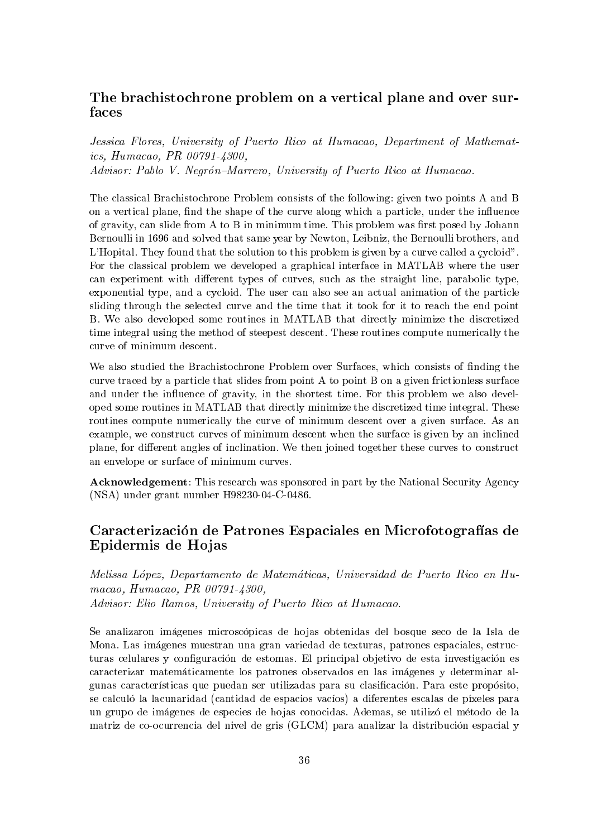## The brachistochrone problem on a vertical plane and over surfaces

Jessica Flores, University of Puerto Rico at Humacao, Department of Mathematics. Humacao. PR  $00791 - 4300$ . Advisor: Pablo V. Negrón-Marrero, University of Puerto Rico at Humacao.

The classical Brachistochrone Problem consists of the following: given two points A and B on a vertical plane, find the shape of the curve along which a particle, under the influence of gravity, can slide from A to B in minimum time. This problem was first posed by Johann Bernoulli in 1696 and solved that same year by Newton, Leibniz, the Bernoulli brothers, and L'Hopital. They found that the solution to this problem is given by a curve called a cycloid". For the classical problem we developed a graphical interface in MATLAB where the user can experiment with different types of curves, such as the straight line, parabolic type, exponential type, and a cycloid. The user can also see an actual animation of the particle sliding through the selected curve and the time that it took for it to reach the end point B. We also developed some routines in MATLAB that directly minimize the discretized time integral using the method of steepest descent. These routines compute numerically the curve of minimum descent.

We also studied the Brachistochrone Problem over Surfaces, which consists of finding the curve traced by a particle that slides from point A to point B on a given frictionless surface and under the influence of gravity, in the shortest time. For this problem we also developed some routines in MATLAB that directly minimize the discretized time integral. These routines compute numerically the curve of minimum descent over a given surface. As an example, we construct curves of minimum descent when the surface is given by an inclined plane, for different angles of inclination. We then joined together these curves to construct an envelope or surface of minimum curves.

**Acknowledgement:** This research was sponsored in part by the National Security Agency  $(NSA)$  under grant number H98230-04-C-0486.

## Caracterización de Patrones Espaciales en Microfotografías de Epidermis de Hojas

Melissa López, Departamento de Matemáticas, Universidad de Puerto Rico en Humacao, Humacao, PR 00791-4300, Advisor: Elio Ramos, University of Puerto Rico at Humacao.

Se analizaron imágenes microscópicas de hojas obtenidas del bosque seco de la Isla de Mona. Las imágenes muestran una gran variedad de texturas, patrones espaciales, estructuras celulares y configuración de estomas. El principal objetivo de esta investigación es caracterizar matemáticamente los patrones observados en las imágenes y determinar algunas características que puedan ser utilizadas para su clasificación. Para este propósito, se calculó la lacunaridad (cantidad de espacios vacíos) a diferentes escalas de píxeles para un grupo de imágenes de especies de hojas conocidas. Ademas, se utilizó el método de la matriz de co-ocurrencia del nivel de gris (GLCM) para analizar la distribución espacial y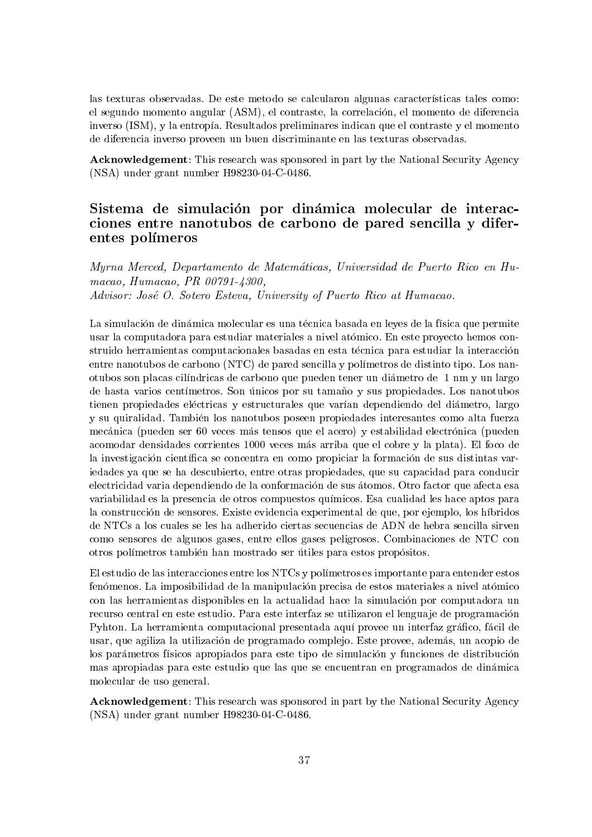las texturas observadas. De este metodo se calcularon algunas características tales como: el segundo momento angular (ASM), el contraste, la correlación, el momento de diferencia inverso (ISM), y la entropía. Resultados preliminares indican que el contraste y el momento de diferencia inverso proveen un buen discriminante en las texturas observadas.

Acknowledgement: This research was sponsored in part by the National Security Agency (NSA) under grant number H98230-04-C-0486.

## Sistema de simulación por dinámica molecular de interacciones entre nanotubos de carbono de pared sencilla y diferentes polímeros

Murna Merced. Departamento de Matemáticas. Universidad de Puerto Rico en Humacao, Humacao, PR 00791-4300. Advisor: José O. Sotero Esteva, University of Puerto Rico at Humacao.

La simulación de dinámica molecular es una técnica basada en leyes de la física que permite usar la computadora para estudiar materiales a nivel atómico. En este provecto hemos construido herramientas computacionales basadas en esta técnica para estudiar la interacción entre nanotubos de carbono (NTC) de pared sencilla y polímetros de distinto tipo. Los nanotubos son placas cilíndricas de carbono que pueden tener un diámetro de 1 nm y un largo de hasta varios centímetros. Son únicos por su tamaño y sus propiedades. Los nanotubos tienen propiedades eléctricas y estructurales que varían dependiendo del diámetro, largo y su quiralidad. También los nanotubos poseen propiedades interesantes como alta fuerza mecánica (pueden ser 60 veces más tensos que el acero) y estabilidad electrónica (pueden acomodar densidades corrientes 1000 veces más arriba que el cobre y la plata). El foco de la investigación científica se concentra en como propiciar la formación de sus distintas variedades ya que se ha descubierto, entre otras propiedades, que su capacidad para conducir electricidad varia dependiendo de la conformación de sus átomos. Otro factor que afecta esa variabilidad es la presencia de otros compuestos químicos. Esa cualidad les hace aptos para la construcción de sensores. Existe evidencia experimental de que, por ejemplo, los híbridos de NTCs a los cuales se les ha adherido ciertas secuencias de ADN de hebra sencilla sirven como sensores de algunos gases, entre ellos gases peligrosos. Combinaciones de NTC con otros polímetros también han mostrado ser útiles para estos propósitos.

El estudio de las interacciones entre los NTCs y polímetros es importante para entender estos fenómenos. La imposibilidad de la manipulación precisa de estos materiales a nivel atómico con las herramientas disponibles en la actualidad hace la simulación por computadora un recurso central en este estudio. Para este interfaz se utilizaron el lenguaje de programación Pyhton. La herramienta computacional presentada aguí provee un interfaz gráfico, fácil de usar, que agiliza la utilización de programado complejo. Este provee, además, un acopio de los parámetros físicos apropiados para este tipo de simulación y funciones de distribución mas apropiadas para este estudio que las que se encuentran en programados de dinámica molecular de uso general.

**Acknowledgement:** This research was sponsored in part by the National Security Agency  $(NSA)$  under grant number H98230-04-C-0486.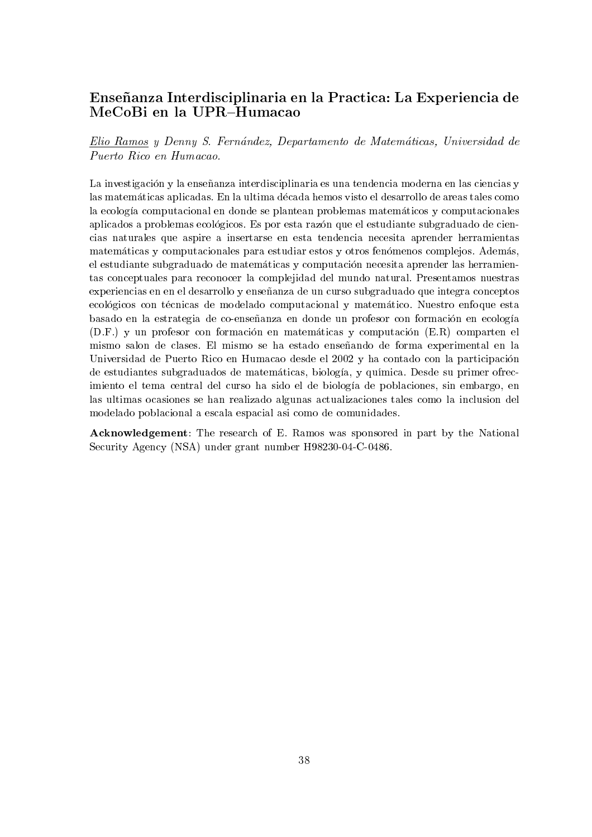## Enseñanza Interdisciplinaria en la Practica: La Experiencia de MeCoBi en la UPR-Humacao

Elio Ramos y Denny S. Fernández, Departamento de Matemáticas, Universidad de Puerto Rico en Humacao.

La investigación y la enseñanza interdisciplinaria es una tendencia moderna en las ciencias y las matemáticas aplicadas. En la ultima década hemos visto el desarrollo de areas tales como la ecología computacional en donde se plantean problemas matemáticos y computacionales aplicados a problemas ecológicos. Es por esta razón que el estudiante subgraduado de ciencias naturales que aspire a insertarse en esta tendencia necesita aprender herramientas matemáticas y computacionales para estudiar estos y otros fenómenos complejos. Además, el estudiante subgraduado de matemáticas y computación necesita aprender las herramientas conceptuales para reconocer la complejidad del mundo natural. Presentamos nuestras experiencias en en el desarrollo y enseñanza de un curso subgraduado que integra conceptos ecológicos con técnicas de modelado computacional y matemático. Nuestro enfoque esta basado en la estrategia de co-enseñanza en donde un profesor con formación en ecología (D.F.) y un profesor con formación en matemáticas y computación (E.R.) comparten el mismo salon de clases. El mismo se ha estado enseñando de forma experimental en la Universidad de Puerto Rico en Humacao desde el 2002 y ha contado con la participación de estudiantes subgraduados de matemáticas, biología, y química. Desde su primer ofrecimiento el tema central del curso ha sido el de biología de poblaciones, sin embargo, en las ultimas ocasiones se han realizado algunas actualizaciones tales como la inclusion del modelado poblacional a escala espacial así como de comunidades.

**Acknowledgement:** The research of E. Ramos was sponsored in part by the National Security Agency (NSA) under grant number H98230-04-C-0486.